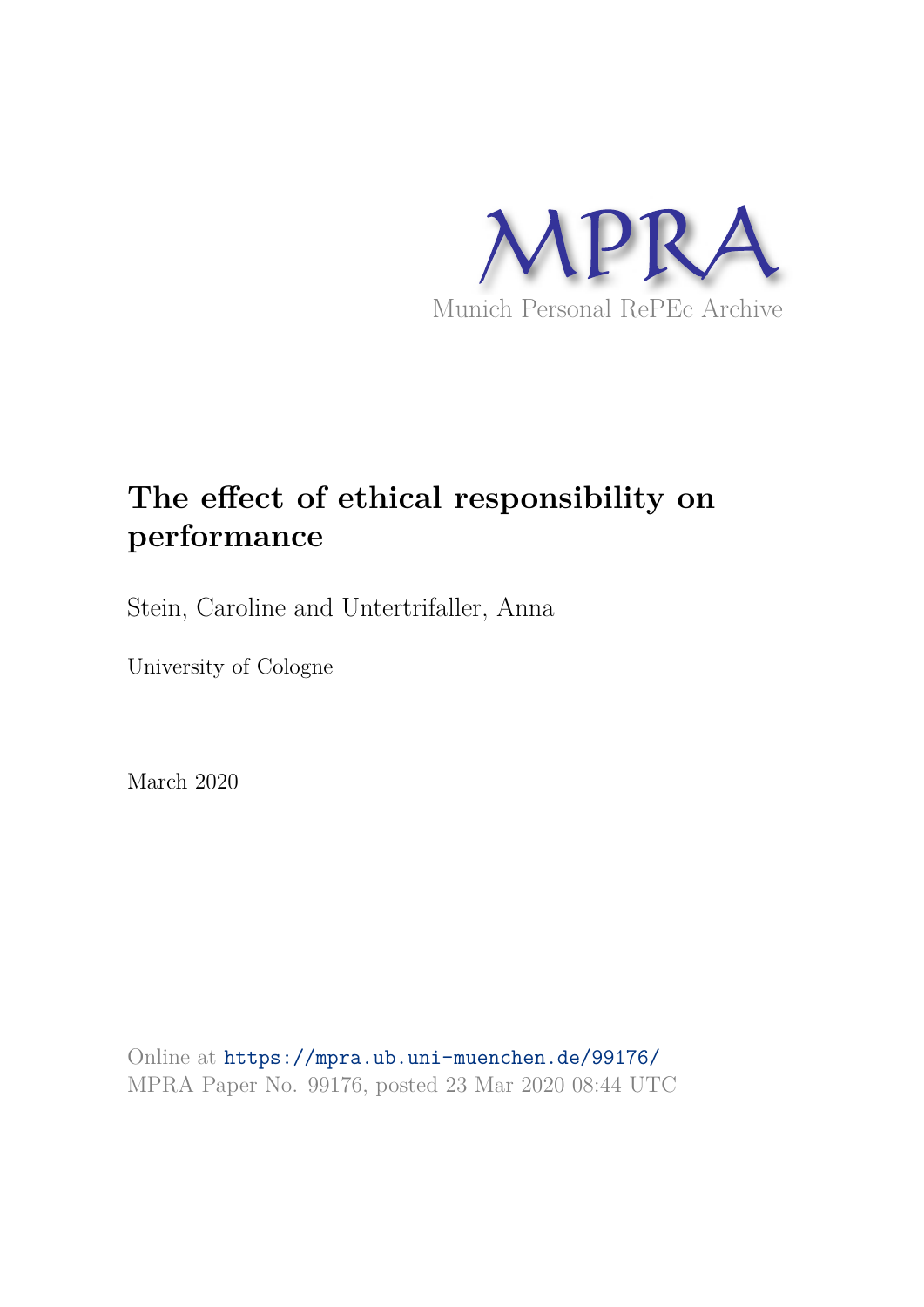

## **The effect of ethical responsibility on performance**

Stein, Caroline and Untertrifaller, Anna

University of Cologne

March 2020

Online at https://mpra.ub.uni-muenchen.de/99176/ MPRA Paper No. 99176, posted 23 Mar 2020 08:44 UTC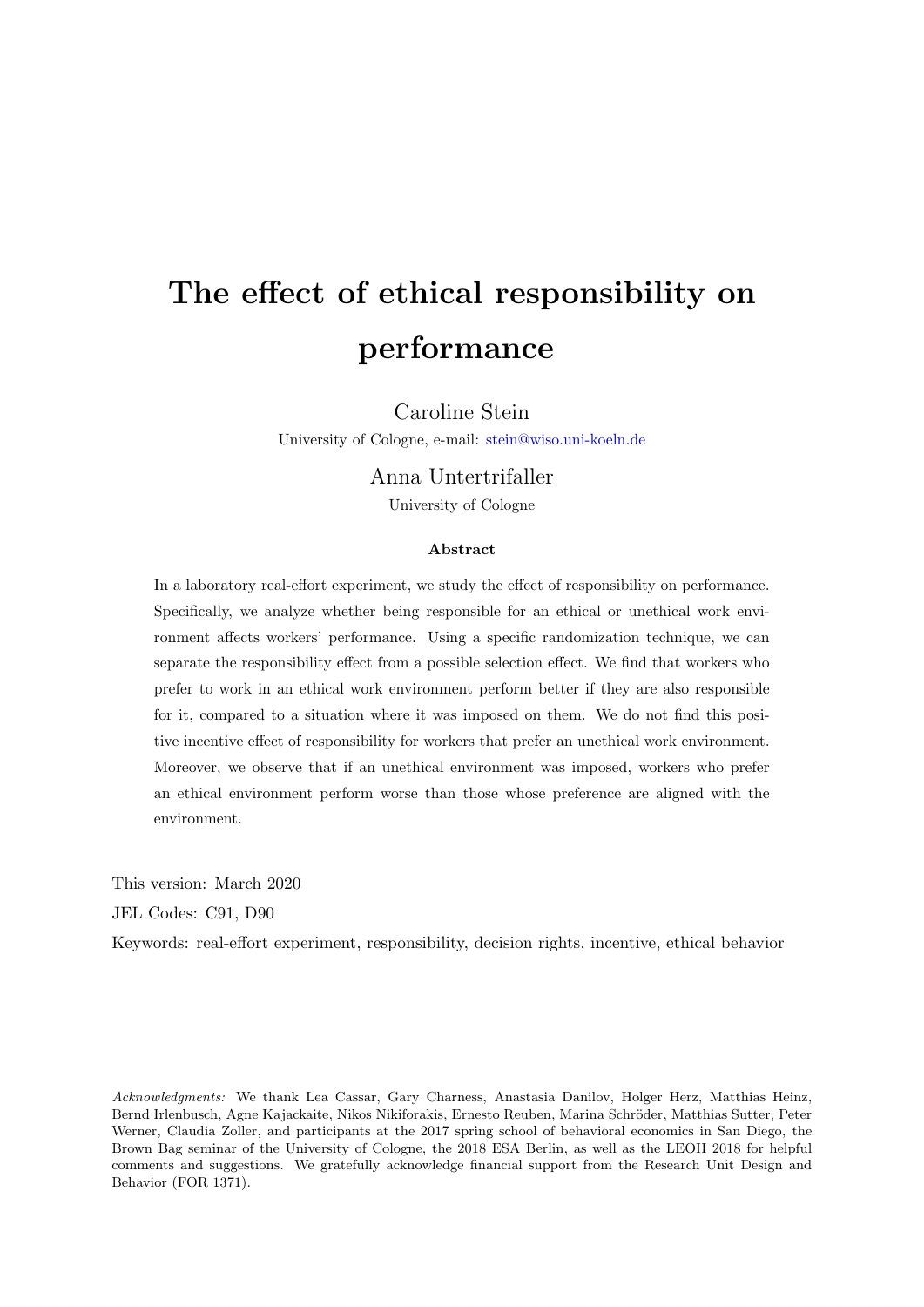# The effect of ethical responsibility on performance

Caroline Stein

University of Cologne, e-mail: stein@wiso.uni-koeln.de

## Anna Untertrifaller

University of Cologne

#### Abstract

In a laboratory real-effort experiment, we study the effect of responsibility on performance. Specifically, we analyze whether being responsible for an ethical or unethical work environment affects workers' performance. Using a specific randomization technique, we can separate the responsibility effect from a possible selection effect. We find that workers who prefer to work in an ethical work environment perform better if they are also responsible for it, compared to a situation where it was imposed on them. We do not find this positive incentive effect of responsibility for workers that prefer an unethical work environment. Moreover, we observe that if an unethical environment was imposed, workers who prefer an ethical environment perform worse than those whose preference are aligned with the environment.

This version: March 2020

JEL Codes: C91, D90

Keywords: real-effort experiment, responsibility, decision rights, incentive, ethical behavior

Acknowledgments: We thank Lea Cassar, Gary Charness, Anastasia Danilov, Holger Herz, Matthias Heinz, Bernd Irlenbusch, Agne Kajackaite, Nikos Nikiforakis, Ernesto Reuben, Marina Schröder, Matthias Sutter, Peter Werner, Claudia Zoller, and participants at the 2017 spring school of behavioral economics in San Diego, the Brown Bag seminar of the University of Cologne, the 2018 ESA Berlin, as well as the LEOH 2018 for helpful comments and suggestions. We gratefully acknowledge financial support from the Research Unit Design and Behavior (FOR 1371).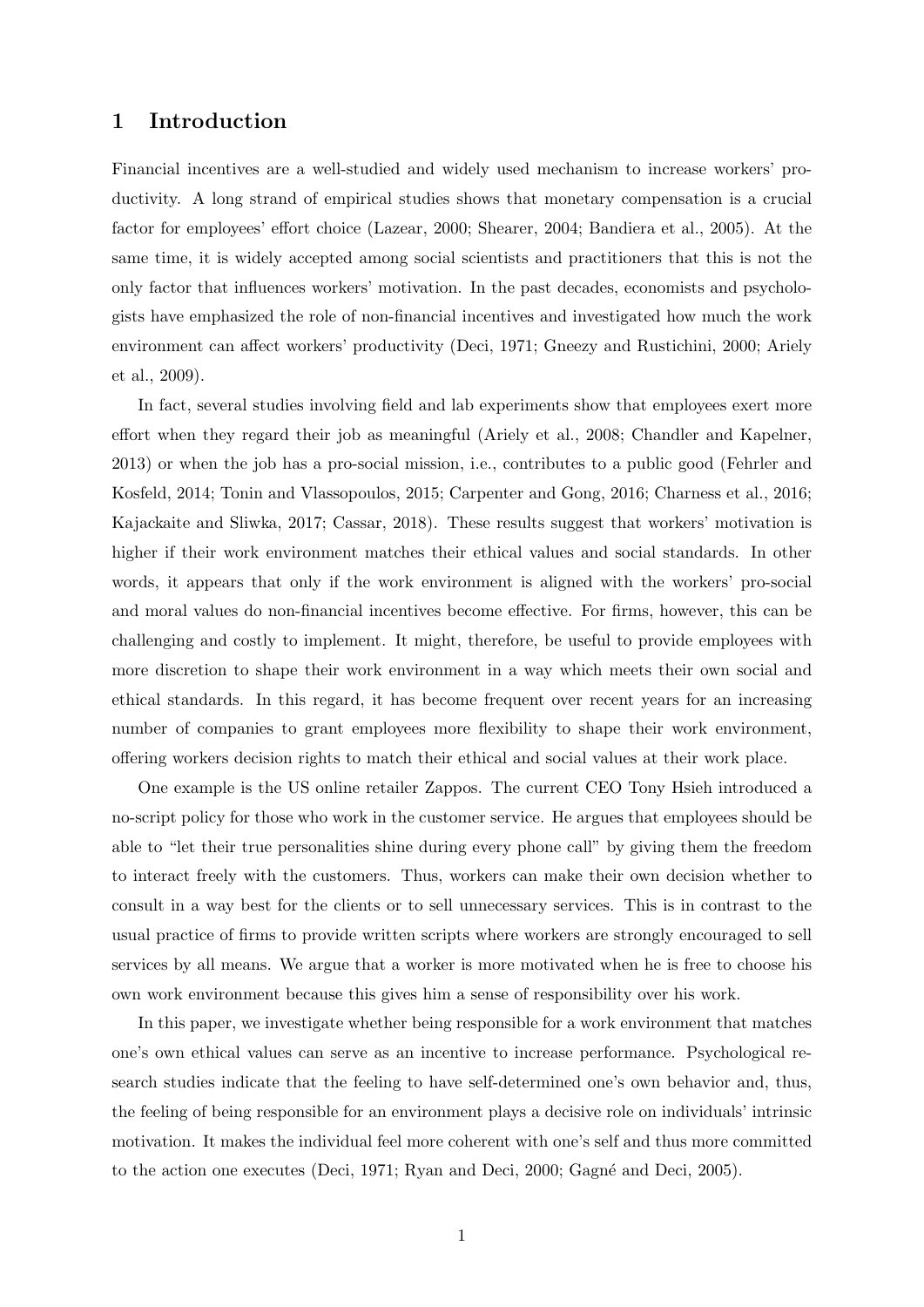### 1 Introduction

Financial incentives are a well-studied and widely used mechanism to increase workers' productivity. A long strand of empirical studies shows that monetary compensation is a crucial factor for employees' effort choice (Lazear, 2000; Shearer, 2004; Bandiera et al., 2005). At the same time, it is widely accepted among social scientists and practitioners that this is not the only factor that influences workers' motivation. In the past decades, economists and psychologists have emphasized the role of non-financial incentives and investigated how much the work environment can affect workers' productivity (Deci, 1971; Gneezy and Rustichini, 2000; Ariely et al., 2009).

In fact, several studies involving field and lab experiments show that employees exert more effort when they regard their job as meaningful (Ariely et al., 2008; Chandler and Kapelner, 2013) or when the job has a pro-social mission, i.e., contributes to a public good (Fehrler and Kosfeld, 2014; Tonin and Vlassopoulos, 2015; Carpenter and Gong, 2016; Charness et al., 2016; Kajackaite and Sliwka, 2017; Cassar, 2018). These results suggest that workers' motivation is higher if their work environment matches their ethical values and social standards. In other words, it appears that only if the work environment is aligned with the workers' pro-social and moral values do non-financial incentives become effective. For firms, however, this can be challenging and costly to implement. It might, therefore, be useful to provide employees with more discretion to shape their work environment in a way which meets their own social and ethical standards. In this regard, it has become frequent over recent years for an increasing number of companies to grant employees more flexibility to shape their work environment, offering workers decision rights to match their ethical and social values at their work place.

One example is the US online retailer Zappos. The current CEO Tony Hsieh introduced a no-script policy for those who work in the customer service. He argues that employees should be able to "let their true personalities shine during every phone call" by giving them the freedom to interact freely with the customers. Thus, workers can make their own decision whether to consult in a way best for the clients or to sell unnecessary services. This is in contrast to the usual practice of firms to provide written scripts where workers are strongly encouraged to sell services by all means. We argue that a worker is more motivated when he is free to choose his own work environment because this gives him a sense of responsibility over his work.

In this paper, we investigate whether being responsible for a work environment that matches one's own ethical values can serve as an incentive to increase performance. Psychological research studies indicate that the feeling to have self-determined one's own behavior and, thus, the feeling of being responsible for an environment plays a decisive role on individuals' intrinsic motivation. It makes the individual feel more coherent with one's self and thus more committed to the action one executes (Deci, 1971; Ryan and Deci, 2000; Gagné and Deci, 2005).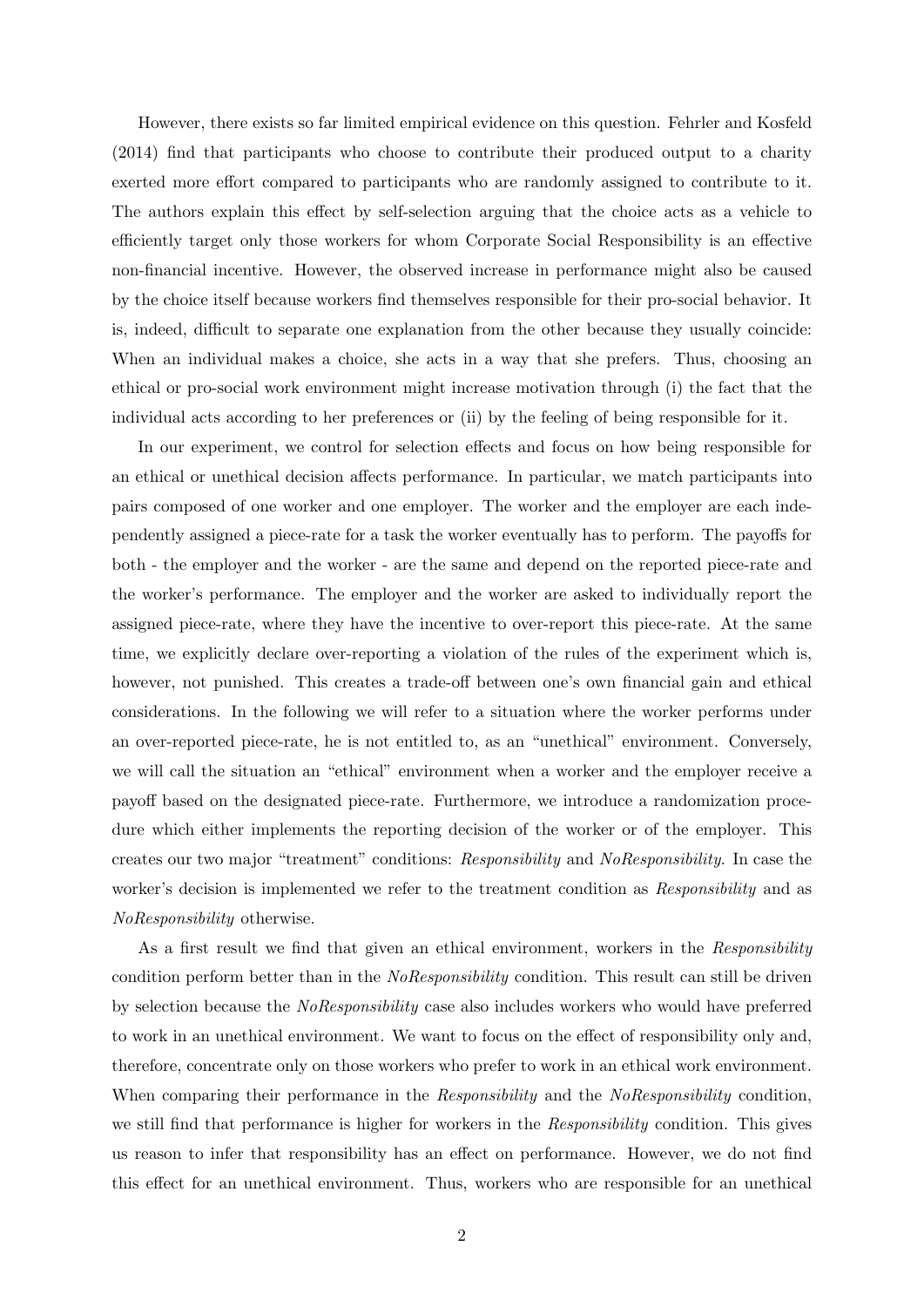However, there exists so far limited empirical evidence on this question. Fehrler and Kosfeld (2014) find that participants who choose to contribute their produced output to a charity exerted more effort compared to participants who are randomly assigned to contribute to it. The authors explain this effect by self-selection arguing that the choice acts as a vehicle to efficiently target only those workers for whom Corporate Social Responsibility is an effective non-financial incentive. However, the observed increase in performance might also be caused by the choice itself because workers find themselves responsible for their pro-social behavior. It is, indeed, difficult to separate one explanation from the other because they usually coincide: When an individual makes a choice, she acts in a way that she prefers. Thus, choosing an ethical or pro-social work environment might increase motivation through (i) the fact that the individual acts according to her preferences or (ii) by the feeling of being responsible for it.

In our experiment, we control for selection effects and focus on how being responsible for an ethical or unethical decision affects performance. In particular, we match participants into pairs composed of one worker and one employer. The worker and the employer are each independently assigned a piece-rate for a task the worker eventually has to perform. The payoffs for both - the employer and the worker - are the same and depend on the reported piece-rate and the worker's performance. The employer and the worker are asked to individually report the assigned piece-rate, where they have the incentive to over-report this piece-rate. At the same time, we explicitly declare over-reporting a violation of the rules of the experiment which is, however, not punished. This creates a trade-off between one's own financial gain and ethical considerations. In the following we will refer to a situation where the worker performs under an over-reported piece-rate, he is not entitled to, as an "unethical" environment. Conversely, we will call the situation an "ethical" environment when a worker and the employer receive a payoff based on the designated piece-rate. Furthermore, we introduce a randomization procedure which either implements the reporting decision of the worker or of the employer. This creates our two major "treatment" conditions: Responsibility and NoResponsibility. In case the worker's decision is implemented we refer to the treatment condition as Responsibility and as NoResponsibility otherwise.

As a first result we find that given an ethical environment, workers in the Responsibility condition perform better than in the *NoResponsibility* condition. This result can still be driven by selection because the NoResponsibility case also includes workers who would have preferred to work in an unethical environment. We want to focus on the effect of responsibility only and, therefore, concentrate only on those workers who prefer to work in an ethical work environment. When comparing their performance in the Responsibility and the NoResponsibility condition, we still find that performance is higher for workers in the Responsibility condition. This gives us reason to infer that responsibility has an effect on performance. However, we do not find this effect for an unethical environment. Thus, workers who are responsible for an unethical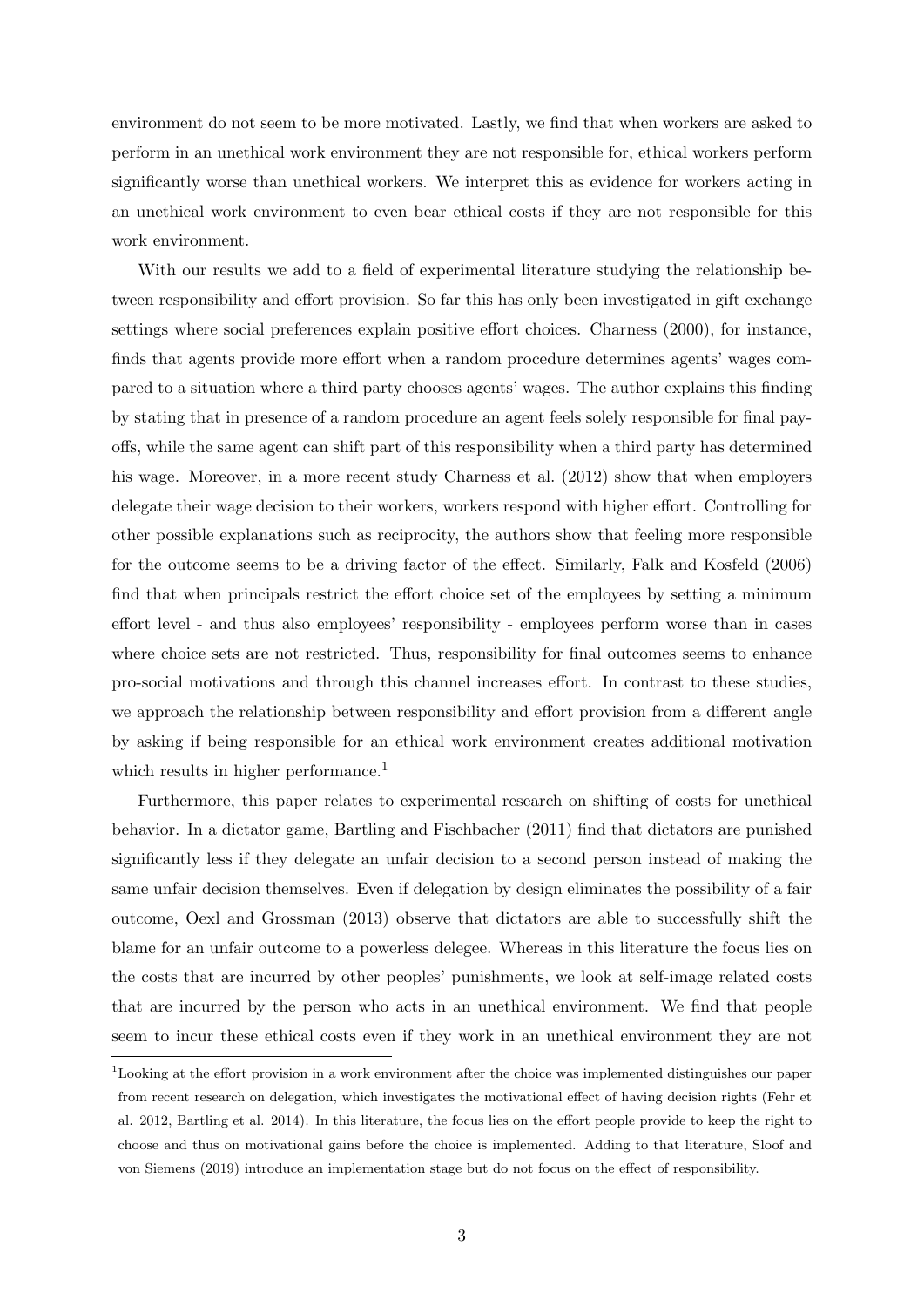environment do not seem to be more motivated. Lastly, we find that when workers are asked to perform in an unethical work environment they are not responsible for, ethical workers perform significantly worse than unethical workers. We interpret this as evidence for workers acting in an unethical work environment to even bear ethical costs if they are not responsible for this work environment.

With our results we add to a field of experimental literature studying the relationship between responsibility and effort provision. So far this has only been investigated in gift exchange settings where social preferences explain positive effort choices. Charness (2000), for instance, finds that agents provide more effort when a random procedure determines agents' wages compared to a situation where a third party chooses agents' wages. The author explains this finding by stating that in presence of a random procedure an agent feels solely responsible for final payoffs, while the same agent can shift part of this responsibility when a third party has determined his wage. Moreover, in a more recent study Charness et al. (2012) show that when employers delegate their wage decision to their workers, workers respond with higher effort. Controlling for other possible explanations such as reciprocity, the authors show that feeling more responsible for the outcome seems to be a driving factor of the effect. Similarly, Falk and Kosfeld (2006) find that when principals restrict the effort choice set of the employees by setting a minimum effort level - and thus also employees' responsibility - employees perform worse than in cases where choice sets are not restricted. Thus, responsibility for final outcomes seems to enhance pro-social motivations and through this channel increases effort. In contrast to these studies, we approach the relationship between responsibility and effort provision from a different angle by asking if being responsible for an ethical work environment creates additional motivation which results in higher performance.<sup>1</sup>

Furthermore, this paper relates to experimental research on shifting of costs for unethical behavior. In a dictator game, Bartling and Fischbacher (2011) find that dictators are punished significantly less if they delegate an unfair decision to a second person instead of making the same unfair decision themselves. Even if delegation by design eliminates the possibility of a fair outcome, Oexl and Grossman (2013) observe that dictators are able to successfully shift the blame for an unfair outcome to a powerless delegee. Whereas in this literature the focus lies on the costs that are incurred by other peoples' punishments, we look at self-image related costs that are incurred by the person who acts in an unethical environment. We find that people seem to incur these ethical costs even if they work in an unethical environment they are not

<sup>1</sup>Looking at the effort provision in a work environment after the choice was implemented distinguishes our paper from recent research on delegation, which investigates the motivational effect of having decision rights (Fehr et al. 2012, Bartling et al. 2014). In this literature, the focus lies on the effort people provide to keep the right to choose and thus on motivational gains before the choice is implemented. Adding to that literature, Sloof and von Siemens (2019) introduce an implementation stage but do not focus on the effect of responsibility.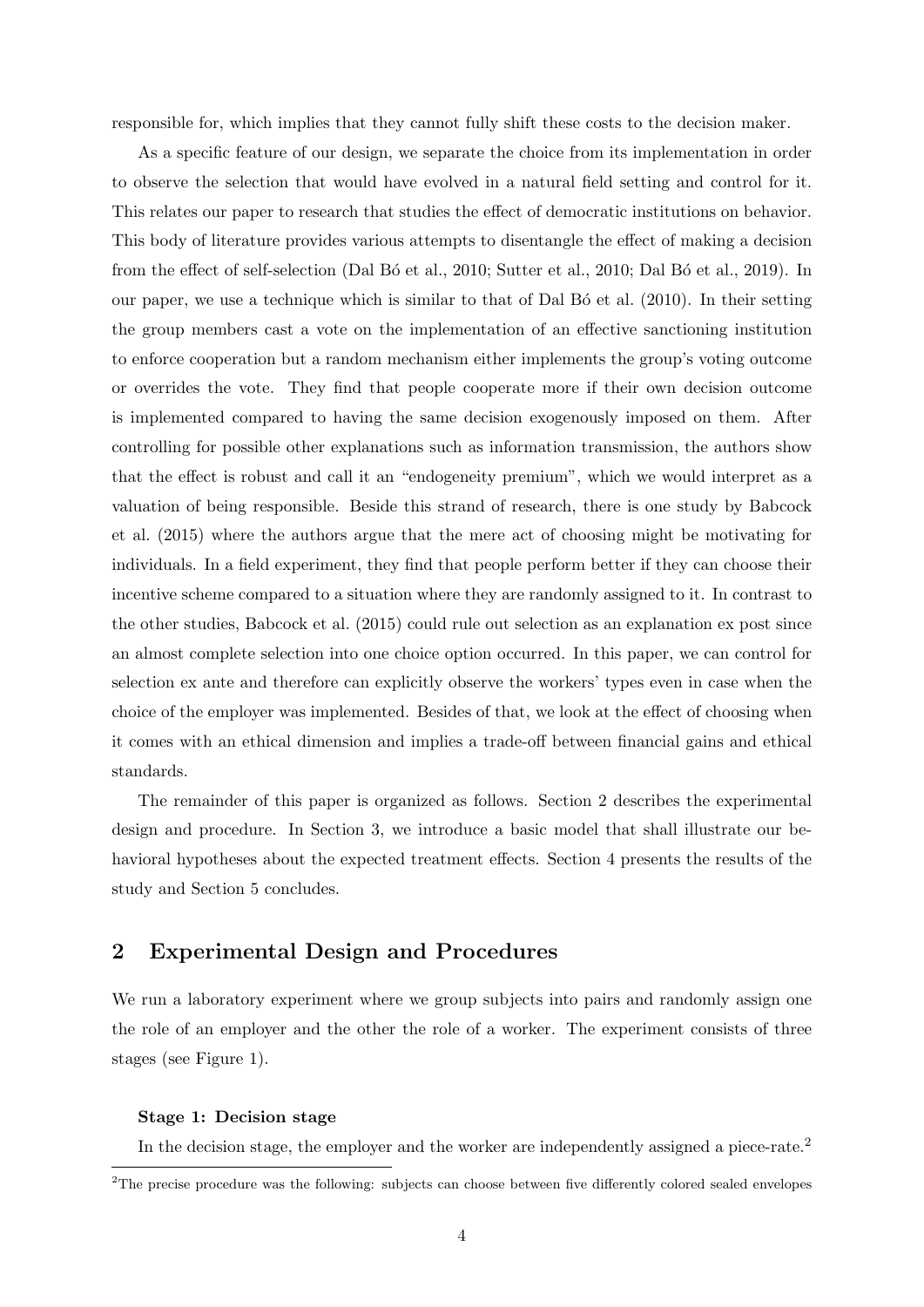responsible for, which implies that they cannot fully shift these costs to the decision maker.

As a specific feature of our design, we separate the choice from its implementation in order to observe the selection that would have evolved in a natural field setting and control for it. This relates our paper to research that studies the effect of democratic institutions on behavior. This body of literature provides various attempts to disentangle the effect of making a decision from the effect of self-selection (Dal Bo et al., 2010; Sutter et al., 2010; Dal Bo et al., 2019). In our paper, we use a technique which is similar to that of Dal B $\acute{o}$  et al. (2010). In their setting the group members cast a vote on the implementation of an effective sanctioning institution to enforce cooperation but a random mechanism either implements the group's voting outcome or overrides the vote. They find that people cooperate more if their own decision outcome is implemented compared to having the same decision exogenously imposed on them. After controlling for possible other explanations such as information transmission, the authors show that the effect is robust and call it an "endogeneity premium", which we would interpret as a valuation of being responsible. Beside this strand of research, there is one study by Babcock et al. (2015) where the authors argue that the mere act of choosing might be motivating for individuals. In a field experiment, they find that people perform better if they can choose their incentive scheme compared to a situation where they are randomly assigned to it. In contrast to the other studies, Babcock et al. (2015) could rule out selection as an explanation ex post since an almost complete selection into one choice option occurred. In this paper, we can control for selection ex ante and therefore can explicitly observe the workers' types even in case when the choice of the employer was implemented. Besides of that, we look at the effect of choosing when it comes with an ethical dimension and implies a trade-off between financial gains and ethical standards.

The remainder of this paper is organized as follows. Section 2 describes the experimental design and procedure. In Section 3, we introduce a basic model that shall illustrate our behavioral hypotheses about the expected treatment effects. Section 4 presents the results of the study and Section 5 concludes.

## 2 Experimental Design and Procedures

We run a laboratory experiment where we group subjects into pairs and randomly assign one the role of an employer and the other the role of a worker. The experiment consists of three stages (see Figure 1).

#### Stage 1: Decision stage

In the decision stage, the employer and the worker are independently assigned a piece-rate.<sup>2</sup>

<sup>&</sup>lt;sup>2</sup>The precise procedure was the following: subjects can choose between five differently colored sealed envelopes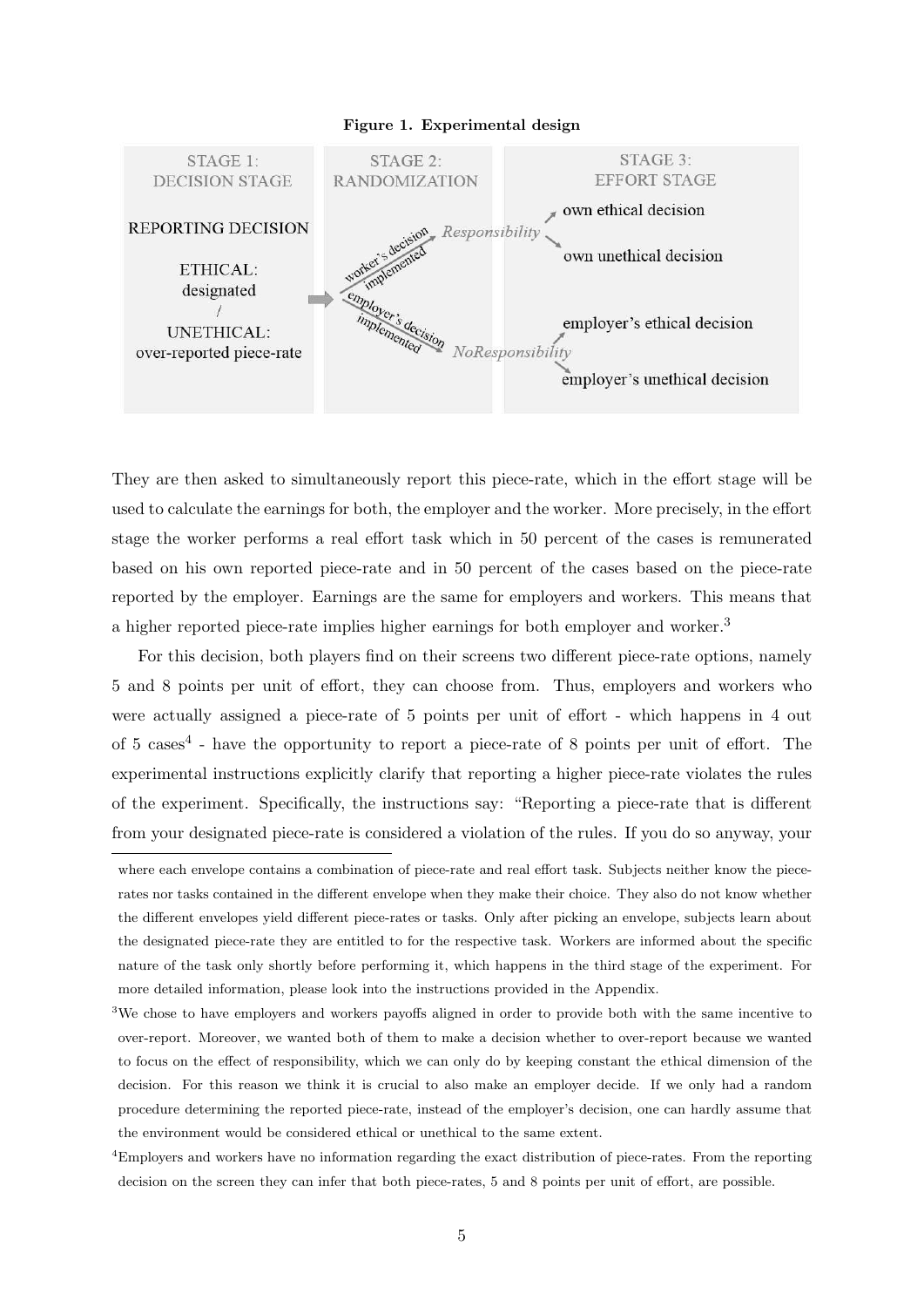

They are then asked to simultaneously report this piece-rate, which in the effort stage will be used to calculate the earnings for both, the employer and the worker. More precisely, in the effort stage the worker performs a real effort task which in 50 percent of the cases is remunerated based on his own reported piece-rate and in 50 percent of the cases based on the piece-rate reported by the employer. Earnings are the same for employers and workers. This means that a higher reported piece-rate implies higher earnings for both employer and worker.<sup>3</sup>

For this decision, both players find on their screens two different piece-rate options, namely 5 and 8 points per unit of effort, they can choose from. Thus, employers and workers who were actually assigned a piece-rate of 5 points per unit of effort - which happens in 4 out of 5 cases<sup>4</sup> - have the opportunity to report a piece-rate of 8 points per unit of effort. The experimental instructions explicitly clarify that reporting a higher piece-rate violates the rules of the experiment. Specifically, the instructions say: "Reporting a piece-rate that is different from your designated piece-rate is considered a violation of the rules. If you do so anyway, your

where each envelope contains a combination of piece-rate and real effort task. Subjects neither know the piecerates nor tasks contained in the different envelope when they make their choice. They also do not know whether the different envelopes yield different piece-rates or tasks. Only after picking an envelope, subjects learn about the designated piece-rate they are entitled to for the respective task. Workers are informed about the specific nature of the task only shortly before performing it, which happens in the third stage of the experiment. For more detailed information, please look into the instructions provided in the Appendix.

<sup>&</sup>lt;sup>3</sup>We chose to have employers and workers payoffs aligned in order to provide both with the same incentive to over-report. Moreover, we wanted both of them to make a decision whether to over-report because we wanted to focus on the effect of responsibility, which we can only do by keeping constant the ethical dimension of the decision. For this reason we think it is crucial to also make an employer decide. If we only had a random procedure determining the reported piece-rate, instead of the employer's decision, one can hardly assume that the environment would be considered ethical or unethical to the same extent.

<sup>4</sup>Employers and workers have no information regarding the exact distribution of piece-rates. From the reporting decision on the screen they can infer that both piece-rates, 5 and 8 points per unit of effort, are possible.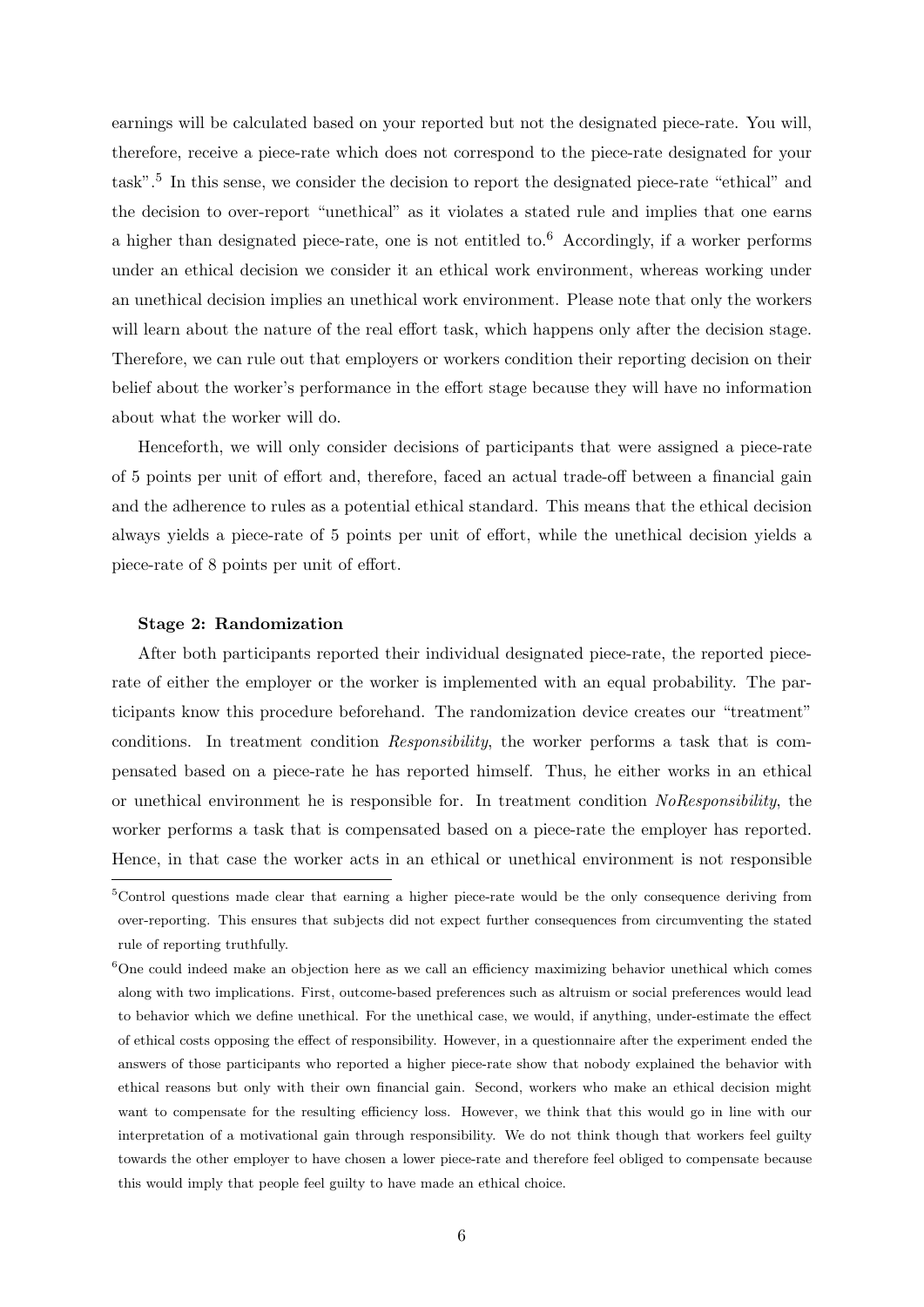earnings will be calculated based on your reported but not the designated piece-rate. You will, therefore, receive a piece-rate which does not correspond to the piece-rate designated for your task".<sup>5</sup> In this sense, we consider the decision to report the designated piece-rate "ethical" and the decision to over-report "unethical" as it violates a stated rule and implies that one earns a higher than designated piece-rate, one is not entitled to.<sup>6</sup> Accordingly, if a worker performs under an ethical decision we consider it an ethical work environment, whereas working under an unethical decision implies an unethical work environment. Please note that only the workers will learn about the nature of the real effort task, which happens only after the decision stage. Therefore, we can rule out that employers or workers condition their reporting decision on their belief about the worker's performance in the effort stage because they will have no information about what the worker will do.

Henceforth, we will only consider decisions of participants that were assigned a piece-rate of 5 points per unit of effort and, therefore, faced an actual trade-off between a financial gain and the adherence to rules as a potential ethical standard. This means that the ethical decision always yields a piece-rate of 5 points per unit of effort, while the unethical decision yields a piece-rate of 8 points per unit of effort.

#### Stage 2: Randomization

After both participants reported their individual designated piece-rate, the reported piecerate of either the employer or the worker is implemented with an equal probability. The participants know this procedure beforehand. The randomization device creates our "treatment" conditions. In treatment condition Responsibility, the worker performs a task that is compensated based on a piece-rate he has reported himself. Thus, he either works in an ethical or unethical environment he is responsible for. In treatment condition NoResponsibility, the worker performs a task that is compensated based on a piece-rate the employer has reported. Hence, in that case the worker acts in an ethical or unethical environment is not responsible

<sup>&</sup>lt;sup>5</sup>Control questions made clear that earning a higher piece-rate would be the only consequence deriving from over-reporting. This ensures that subjects did not expect further consequences from circumventing the stated rule of reporting truthfully.

<sup>&</sup>lt;sup>6</sup>One could indeed make an objection here as we call an efficiency maximizing behavior unethical which comes along with two implications. First, outcome-based preferences such as altruism or social preferences would lead to behavior which we define unethical. For the unethical case, we would, if anything, under-estimate the effect of ethical costs opposing the effect of responsibility. However, in a questionnaire after the experiment ended the answers of those participants who reported a higher piece-rate show that nobody explained the behavior with ethical reasons but only with their own financial gain. Second, workers who make an ethical decision might want to compensate for the resulting efficiency loss. However, we think that this would go in line with our interpretation of a motivational gain through responsibility. We do not think though that workers feel guilty towards the other employer to have chosen a lower piece-rate and therefore feel obliged to compensate because this would imply that people feel guilty to have made an ethical choice.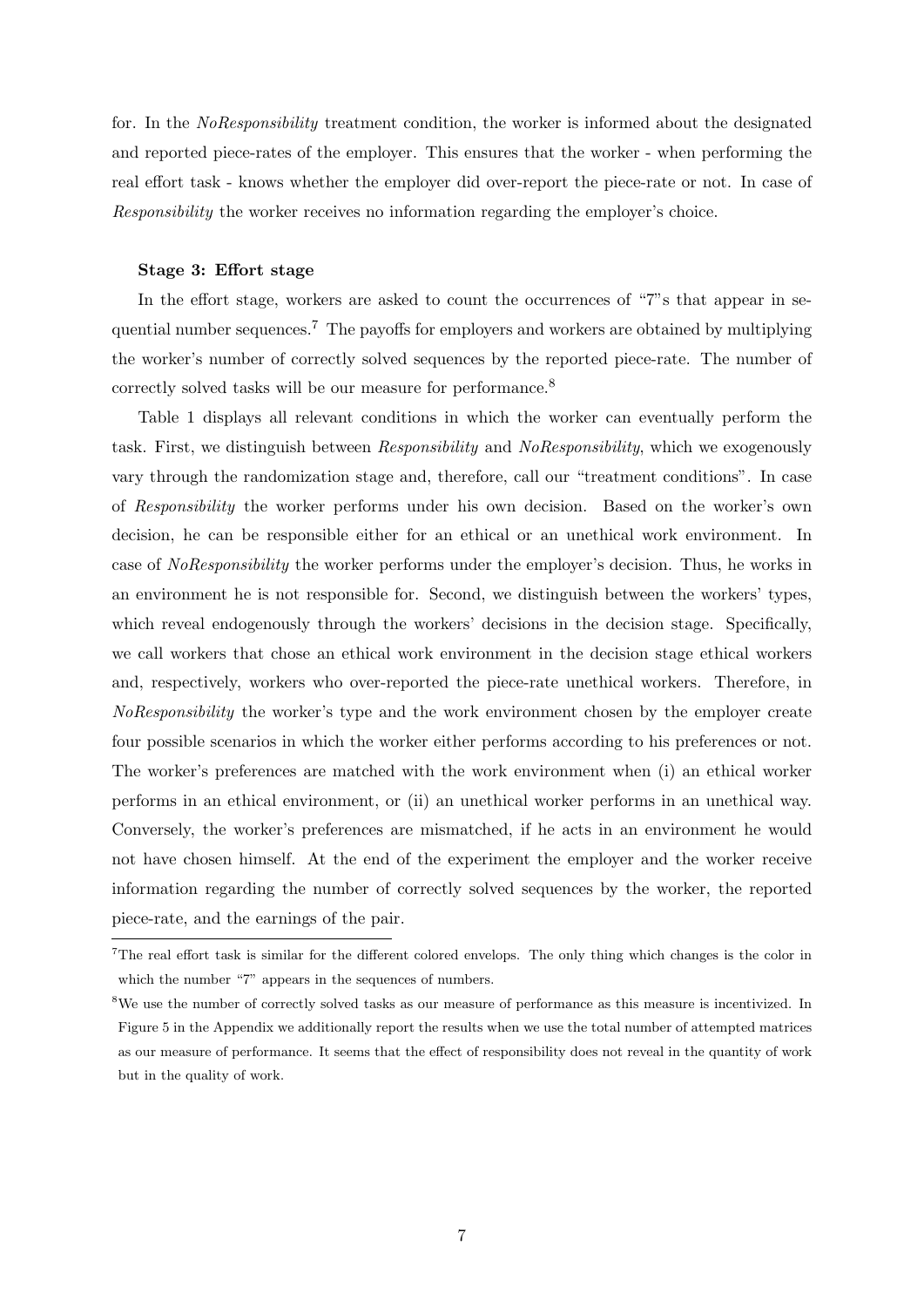for. In the NoResponsibility treatment condition, the worker is informed about the designated and reported piece-rates of the employer. This ensures that the worker - when performing the real effort task - knows whether the employer did over-report the piece-rate or not. In case of Responsibility the worker receives no information regarding the employer's choice.

#### Stage 3: Effort stage

In the effort stage, workers are asked to count the occurrences of "7"s that appear in sequential number sequences.<sup>7</sup> The payoffs for employers and workers are obtained by multiplying the worker's number of correctly solved sequences by the reported piece-rate. The number of correctly solved tasks will be our measure for performance.<sup>8</sup>

Table 1 displays all relevant conditions in which the worker can eventually perform the task. First, we distinguish between Responsibility and NoResponsibility, which we exogenously vary through the randomization stage and, therefore, call our "treatment conditions". In case of Responsibility the worker performs under his own decision. Based on the worker's own decision, he can be responsible either for an ethical or an unethical work environment. In case of NoResponsibility the worker performs under the employer's decision. Thus, he works in an environment he is not responsible for. Second, we distinguish between the workers' types, which reveal endogenously through the workers' decisions in the decision stage. Specifically, we call workers that chose an ethical work environment in the decision stage ethical workers and, respectively, workers who over-reported the piece-rate unethical workers. Therefore, in NoResponsibility the worker's type and the work environment chosen by the employer create four possible scenarios in which the worker either performs according to his preferences or not. The worker's preferences are matched with the work environment when (i) an ethical worker performs in an ethical environment, or (ii) an unethical worker performs in an unethical way. Conversely, the worker's preferences are mismatched, if he acts in an environment he would not have chosen himself. At the end of the experiment the employer and the worker receive information regarding the number of correctly solved sequences by the worker, the reported piece-rate, and the earnings of the pair.

<sup>7</sup>The real effort task is similar for the different colored envelops. The only thing which changes is the color in which the number "7" appears in the sequences of numbers.

<sup>8</sup>We use the number of correctly solved tasks as our measure of performance as this measure is incentivized. In Figure 5 in the Appendix we additionally report the results when we use the total number of attempted matrices as our measure of performance. It seems that the effect of responsibility does not reveal in the quantity of work but in the quality of work.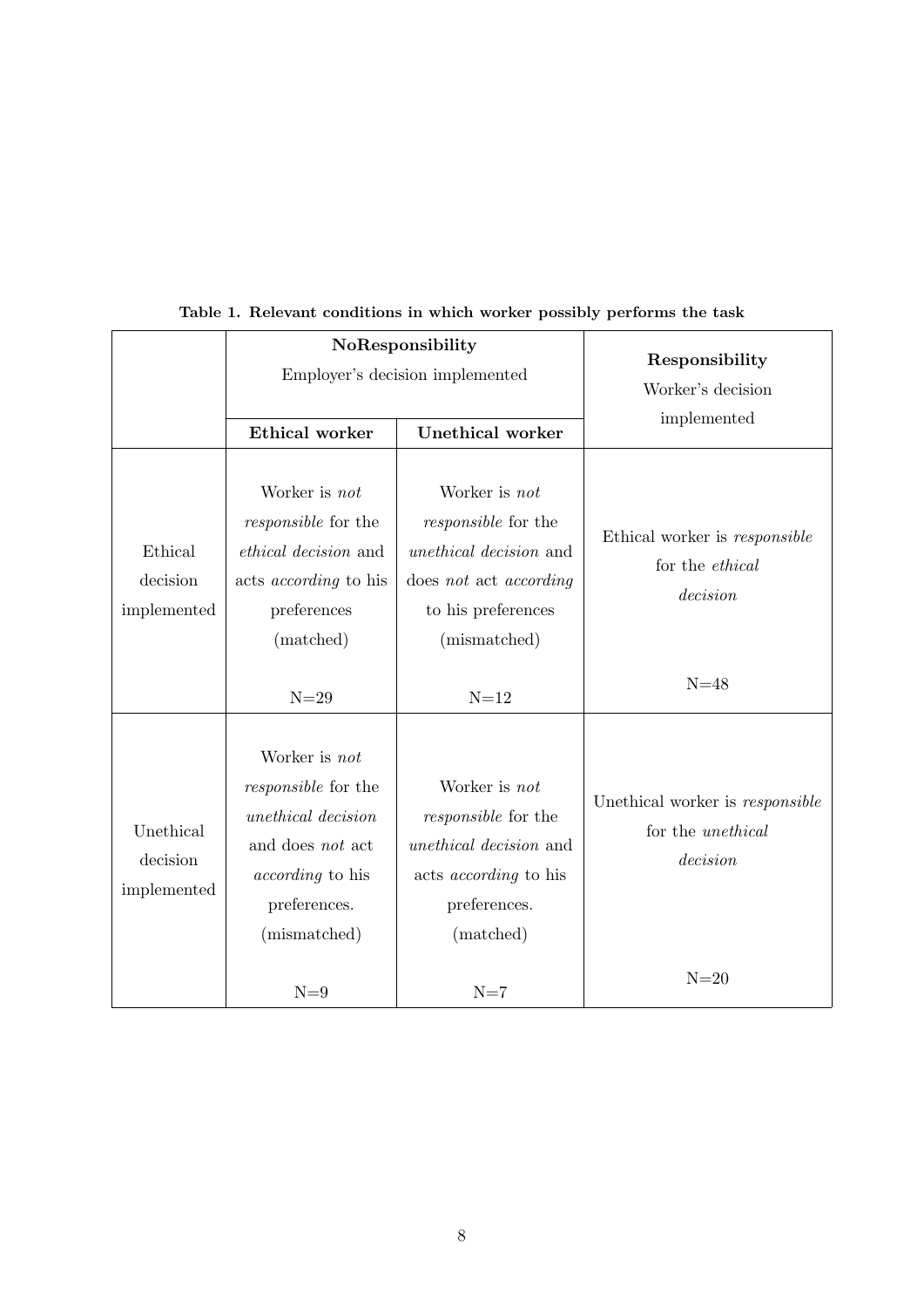|                                      | NoResponsibility<br>Employer's decision implemented                                                                                              |                                                                                                                                              | Responsibility                                                          |  |
|--------------------------------------|--------------------------------------------------------------------------------------------------------------------------------------------------|----------------------------------------------------------------------------------------------------------------------------------------------|-------------------------------------------------------------------------|--|
|                                      |                                                                                                                                                  |                                                                                                                                              | Worker's decision                                                       |  |
|                                      | Ethical worker                                                                                                                                   | <b>Unethical worker</b>                                                                                                                      | implemented                                                             |  |
| Ethical<br>decision<br>implemented   | Worker is not<br><i>responsible</i> for the<br><i>ethical decision</i> and<br>acts <i>according</i> to his<br>preferences<br>(matched)           | Worker is not<br><i>responsible</i> for the<br><i>unethical decision</i> and<br>does not act according<br>to his preferences<br>(mismatched) | Ethical worker is responsible<br>for the <i>ethical</i><br>decision     |  |
|                                      | $N=29$                                                                                                                                           | $N=12$                                                                                                                                       | $N=48$                                                                  |  |
| Unethical<br>decision<br>implemented | Worker is not<br><i>responsible</i> for the<br>unethical decision<br>and does not act<br><i>according</i> to his<br>preferences.<br>(mismatched) | Worker is not<br><i>responsible</i> for the<br>unethical decision and<br>acts <i>according</i> to his<br>preferences.<br>(matched)           | Unethical worker is responsible<br>for the <i>unethical</i><br>decision |  |
|                                      | $N=9$                                                                                                                                            | $N=7$                                                                                                                                        | $N=20$                                                                  |  |

Table 1. Relevant conditions in which worker possibly performs the task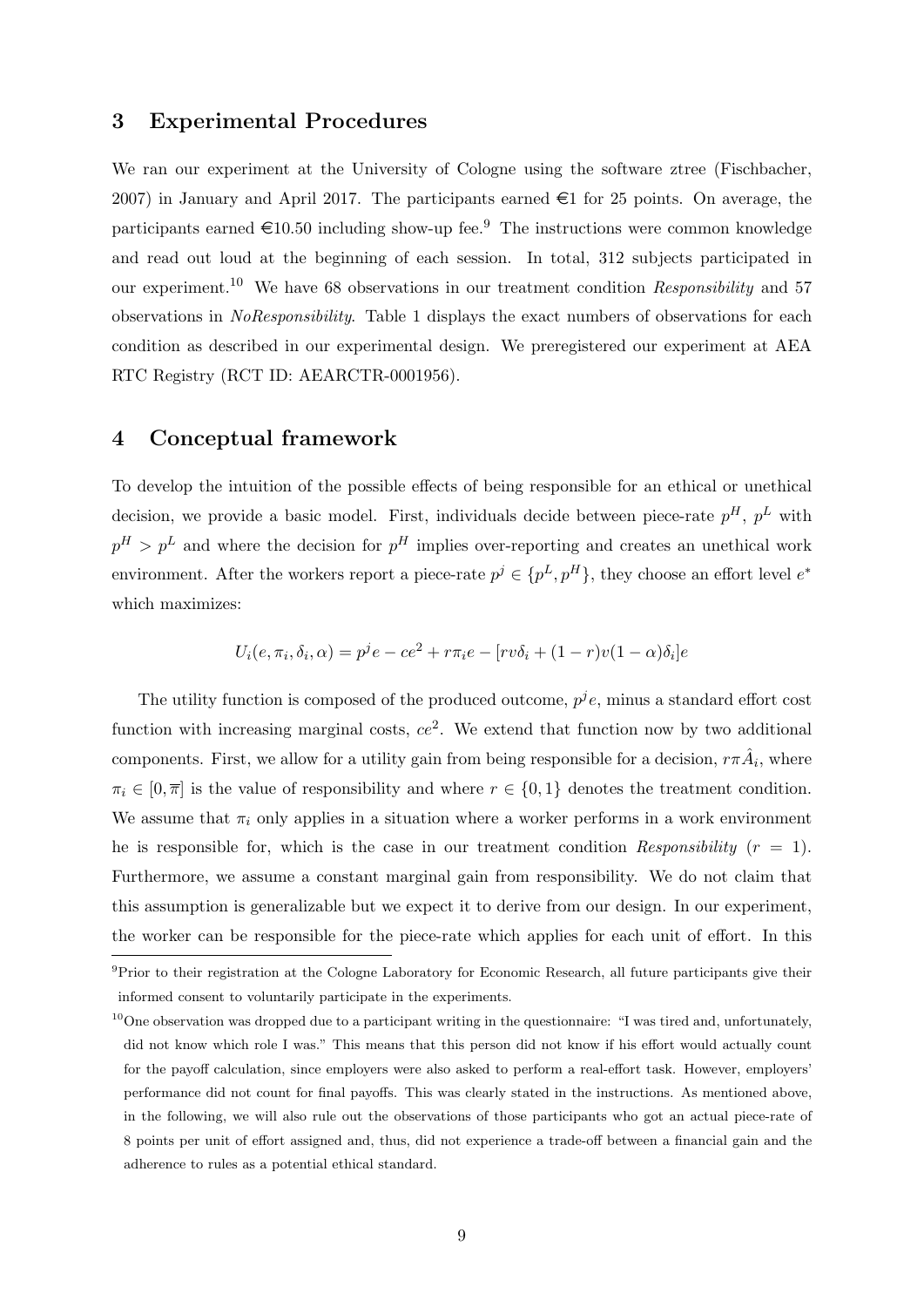### 3 Experimental Procedures

We ran our experiment at the University of Cologne using the software ztree (Fischbacher, 2007) in January and April 2017. The participants earned  $\in$ 1 for 25 points. On average, the participants earned  $\in 10.50$  including show-up fee.<sup>9</sup> The instructions were common knowledge and read out loud at the beginning of each session. In total, 312 subjects participated in our experiment.<sup>10</sup> We have 68 observations in our treatment condition Responsibility and 57 observations in NoResponsibility. Table 1 displays the exact numbers of observations for each condition as described in our experimental design. We preregistered our experiment at AEA RTC Registry (RCT ID: AEARCTR-0001956).

## 4 Conceptual framework

To develop the intuition of the possible effects of being responsible for an ethical or unethical decision, we provide a basic model. First, individuals decide between piece-rate  $p^H$ ,  $p^L$  with  $p^H > p^L$  and where the decision for  $p^H$  implies over-reporting and creates an unethical work environment. After the workers report a piece-rate  $p^j \in \{p^L, p^H\}$ , they choose an effort level  $e^*$ which maximizes:

$$
U_i(e, \pi_i, \delta_i, \alpha) = p^j e - ce^2 + r \pi_i e - [rv \delta_i + (1 - r)v(1 - \alpha)\delta_i]e
$$

The utility function is composed of the produced outcome,  $p^j e$ , minus a standard effort cost function with increasing marginal costs,  $ce^2$ . We extend that function now by two additional components. First, we allow for a utility gain from being responsible for a decision,  $r\pi \hat{A}_i$ , where  $\pi_i \in [0, \overline{\pi}]$  is the value of responsibility and where  $r \in \{0, 1\}$  denotes the treatment condition. We assume that  $\pi_i$  only applies in a situation where a worker performs in a work environment he is responsible for, which is the case in our treatment condition Responsibility ( $r = 1$ ). Furthermore, we assume a constant marginal gain from responsibility. We do not claim that this assumption is generalizable but we expect it to derive from our design. In our experiment, the worker can be responsible for the piece-rate which applies for each unit of effort. In this

<sup>9</sup>Prior to their registration at the Cologne Laboratory for Economic Research, all future participants give their informed consent to voluntarily participate in the experiments.

 $10$ One observation was dropped due to a participant writing in the questionnaire: "I was tired and, unfortunately, did not know which role I was." This means that this person did not know if his effort would actually count for the payoff calculation, since employers were also asked to perform a real-effort task. However, employers' performance did not count for final payoffs. This was clearly stated in the instructions. As mentioned above, in the following, we will also rule out the observations of those participants who got an actual piece-rate of 8 points per unit of effort assigned and, thus, did not experience a trade-off between a financial gain and the adherence to rules as a potential ethical standard.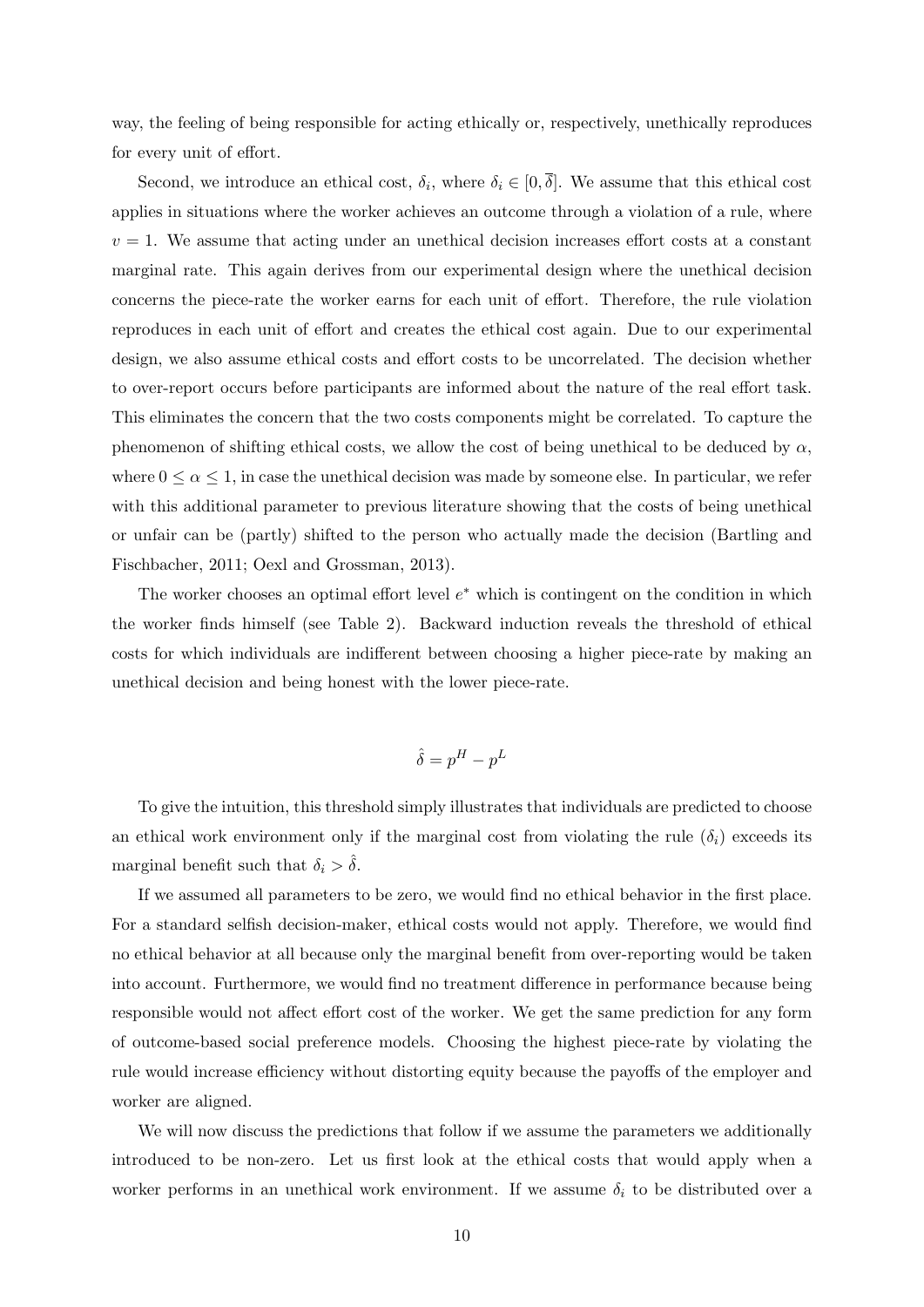way, the feeling of being responsible for acting ethically or, respectively, unethically reproduces for every unit of effort.

Second, we introduce an ethical cost,  $\delta_i$ , where  $\delta_i \in [0, \overline{\delta}]$ . We assume that this ethical cost applies in situations where the worker achieves an outcome through a violation of a rule, where  $v = 1$ . We assume that acting under an unethical decision increases effort costs at a constant marginal rate. This again derives from our experimental design where the unethical decision concerns the piece-rate the worker earns for each unit of effort. Therefore, the rule violation reproduces in each unit of effort and creates the ethical cost again. Due to our experimental design, we also assume ethical costs and effort costs to be uncorrelated. The decision whether to over-report occurs before participants are informed about the nature of the real effort task. This eliminates the concern that the two costs components might be correlated. To capture the phenomenon of shifting ethical costs, we allow the cost of being unethical to be deduced by  $\alpha$ , where  $0 \le \alpha \le 1$ , in case the unethical decision was made by someone else. In particular, we refer with this additional parameter to previous literature showing that the costs of being unethical or unfair can be (partly) shifted to the person who actually made the decision (Bartling and Fischbacher, 2011; Oexl and Grossman, 2013).

The worker chooses an optimal effort level  $e^*$  which is contingent on the condition in which the worker finds himself (see Table 2). Backward induction reveals the threshold of ethical costs for which individuals are indifferent between choosing a higher piece-rate by making an unethical decision and being honest with the lower piece-rate.

$$
\hat{\delta} = p^H - p^L
$$

To give the intuition, this threshold simply illustrates that individuals are predicted to choose an ethical work environment only if the marginal cost from violating the rule  $(\delta_i)$  exceeds its marginal benefit such that  $\delta_i > \hat{\delta}$ .

If we assumed all parameters to be zero, we would find no ethical behavior in the first place. For a standard selfish decision-maker, ethical costs would not apply. Therefore, we would find no ethical behavior at all because only the marginal benefit from over-reporting would be taken into account. Furthermore, we would find no treatment difference in performance because being responsible would not affect effort cost of the worker. We get the same prediction for any form of outcome-based social preference models. Choosing the highest piece-rate by violating the rule would increase efficiency without distorting equity because the payoffs of the employer and worker are aligned.

We will now discuss the predictions that follow if we assume the parameters we additionally introduced to be non-zero. Let us first look at the ethical costs that would apply when a worker performs in an unethical work environment. If we assume  $\delta_i$  to be distributed over a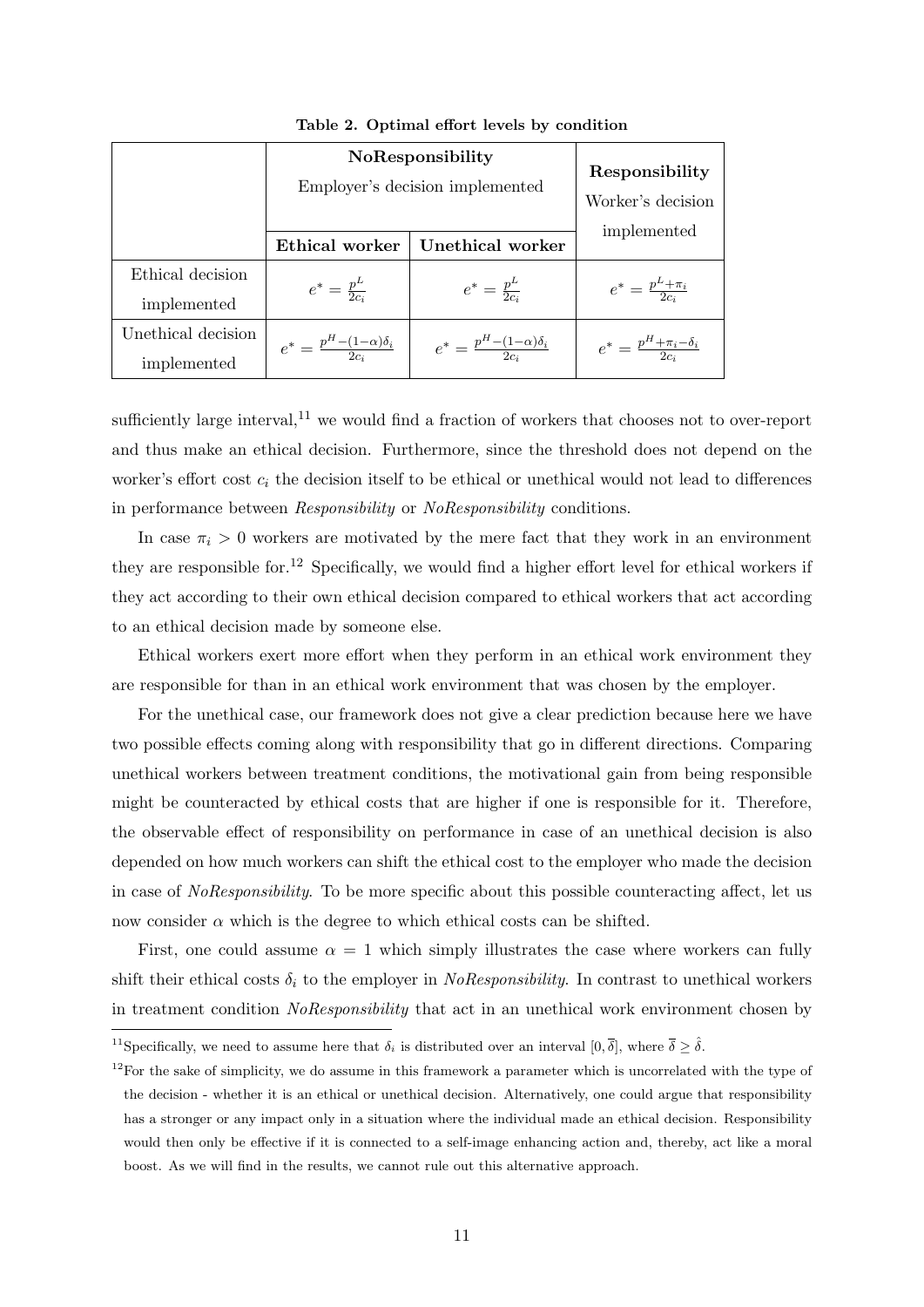|                    | NoResponsibility<br>Employer's decision implemented | Responsibility<br>Worker's decision<br>implemented |                                           |  |
|--------------------|-----------------------------------------------------|----------------------------------------------------|-------------------------------------------|--|
|                    | Ethical worker                                      | Unethical worker                                   |                                           |  |
| Ethical decision   |                                                     | $e^* = \frac{p^L}{2c_i}$                           |                                           |  |
| implemented        | $e^* = \frac{p^L}{2c_i}$                            |                                                    | $e^* = \frac{p^L + \pi_i}{2c_i}$          |  |
| Unethical decision | $e^* = \frac{p^H - (1 - \alpha)\delta_i}{2c}$       | $e^* = \frac{p^H - (1 - \alpha)\delta_i}{2c}$      | $e^* = \frac{p^H + \pi_i - \delta_i}{2c}$ |  |
| implemented        |                                                     |                                                    |                                           |  |

Table 2. Optimal effort levels by condition

sufficiently large interval, $^{11}$  we would find a fraction of workers that chooses not to over-report and thus make an ethical decision. Furthermore, since the threshold does not depend on the worker's effort cost  $c_i$  the decision itself to be ethical or unethical would not lead to differences in performance between Responsibility or NoResponsibility conditions.

In case  $\pi_i > 0$  workers are motivated by the mere fact that they work in an environment they are responsible for.<sup>12</sup> Specifically, we would find a higher effort level for ethical workers if they act according to their own ethical decision compared to ethical workers that act according to an ethical decision made by someone else.

Ethical workers exert more effort when they perform in an ethical work environment they are responsible for than in an ethical work environment that was chosen by the employer.

For the unethical case, our framework does not give a clear prediction because here we have two possible effects coming along with responsibility that go in different directions. Comparing unethical workers between treatment conditions, the motivational gain from being responsible might be counteracted by ethical costs that are higher if one is responsible for it. Therefore, the observable effect of responsibility on performance in case of an unethical decision is also depended on how much workers can shift the ethical cost to the employer who made the decision in case of NoResponsibility. To be more specific about this possible counteracting affect, let us now consider  $\alpha$  which is the degree to which ethical costs can be shifted.

First, one could assume  $\alpha = 1$  which simply illustrates the case where workers can fully shift their ethical costs  $\delta_i$  to the employer in *NoResponsibility*. In contrast to unethical workers in treatment condition NoResponsibility that act in an unethical work environment chosen by

<sup>&</sup>lt;sup>11</sup>Specifically, we need to assume here that  $\delta_i$  is distributed over an interval  $[0, \overline{\delta}]$ , where  $\overline{\delta} \geq \hat{\delta}$ .

 $12$ For the sake of simplicity, we do assume in this framework a parameter which is uncorrelated with the type of the decision - whether it is an ethical or unethical decision. Alternatively, one could argue that responsibility has a stronger or any impact only in a situation where the individual made an ethical decision. Responsibility would then only be effective if it is connected to a self-image enhancing action and, thereby, act like a moral boost. As we will find in the results, we cannot rule out this alternative approach.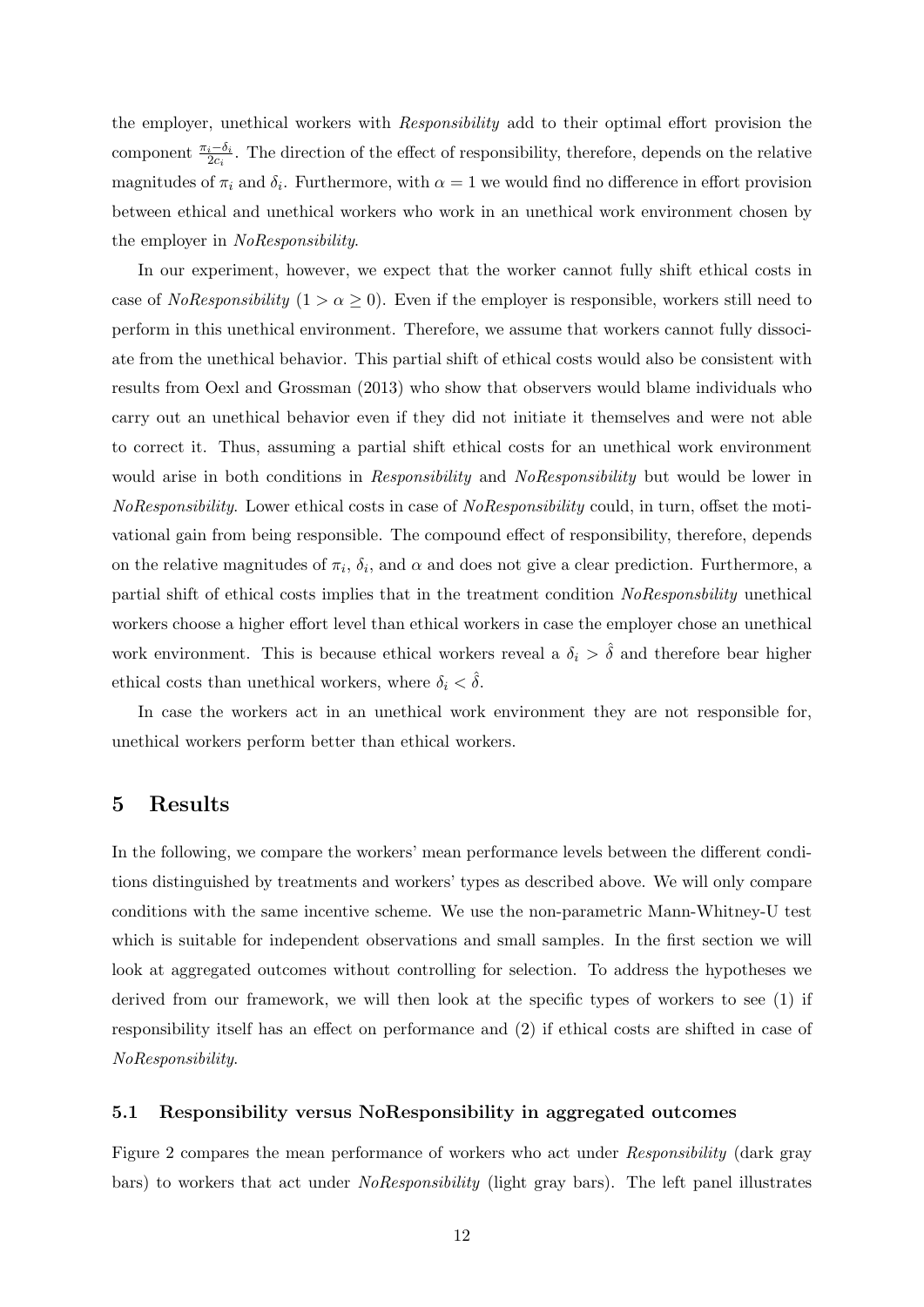the employer, unethical workers with Responsibility add to their optimal effort provision the component  $\frac{\pi_i-\delta_i}{2c_i}$ . The direction of the effect of responsibility, therefore, depends on the relative magnitudes of  $\pi_i$  and  $\delta_i$ . Furthermore, with  $\alpha = 1$  we would find no difference in effort provision between ethical and unethical workers who work in an unethical work environment chosen by the employer in NoResponsibility.

In our experiment, however, we expect that the worker cannot fully shift ethical costs in case of *NoResponsibility*  $(1 > \alpha \geq 0)$ . Even if the employer is responsible, workers still need to perform in this unethical environment. Therefore, we assume that workers cannot fully dissociate from the unethical behavior. This partial shift of ethical costs would also be consistent with results from Oexl and Grossman (2013) who show that observers would blame individuals who carry out an unethical behavior even if they did not initiate it themselves and were not able to correct it. Thus, assuming a partial shift ethical costs for an unethical work environment would arise in both conditions in Responsibility and NoResponsibility but would be lower in NoResponsibility. Lower ethical costs in case of NoResponsibility could, in turn, offset the motivational gain from being responsible. The compound effect of responsibility, therefore, depends on the relative magnitudes of  $\pi_i$ ,  $\delta_i$ , and  $\alpha$  and does not give a clear prediction. Furthermore, a partial shift of ethical costs implies that in the treatment condition NoResponsbility unethical workers choose a higher effort level than ethical workers in case the employer chose an unethical work environment. This is because ethical workers reveal a  $\delta_i > \hat{\delta}$  and therefore bear higher ethical costs than unethical workers, where  $\delta_i < \delta$ .

In case the workers act in an unethical work environment they are not responsible for, unethical workers perform better than ethical workers.

## 5 Results

In the following, we compare the workers' mean performance levels between the different conditions distinguished by treatments and workers' types as described above. We will only compare conditions with the same incentive scheme. We use the non-parametric Mann-Whitney-U test which is suitable for independent observations and small samples. In the first section we will look at aggregated outcomes without controlling for selection. To address the hypotheses we derived from our framework, we will then look at the specific types of workers to see (1) if responsibility itself has an effect on performance and (2) if ethical costs are shifted in case of NoResponsibility.

#### 5.1 Responsibility versus NoResponsibility in aggregated outcomes

Figure 2 compares the mean performance of workers who act under Responsibility (dark gray bars) to workers that act under *NoResponsibility* (light gray bars). The left panel illustrates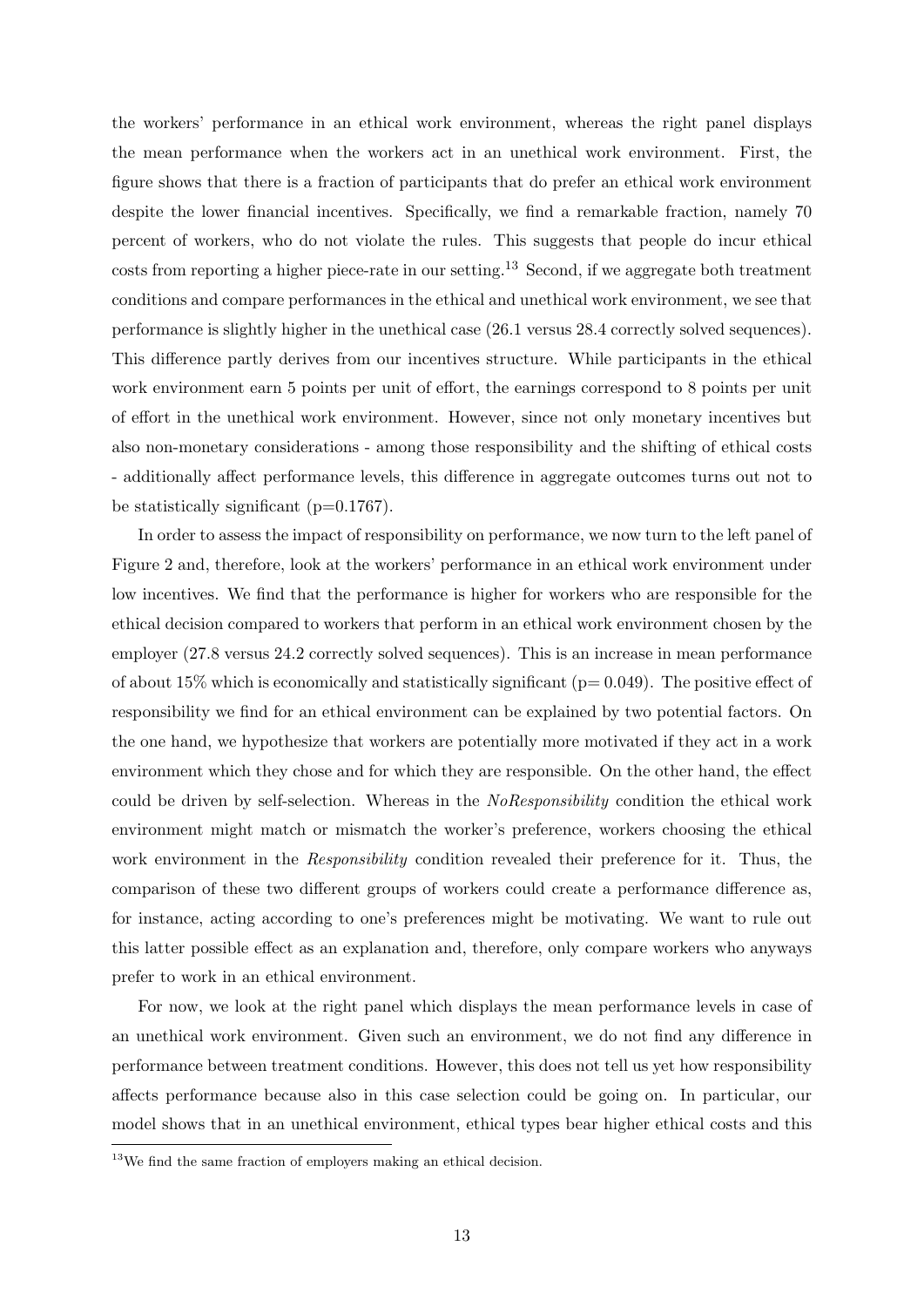the workers' performance in an ethical work environment, whereas the right panel displays the mean performance when the workers act in an unethical work environment. First, the figure shows that there is a fraction of participants that do prefer an ethical work environment despite the lower financial incentives. Specifically, we find a remarkable fraction, namely 70 percent of workers, who do not violate the rules. This suggests that people do incur ethical costs from reporting a higher piece-rate in our setting.<sup>13</sup> Second, if we aggregate both treatment conditions and compare performances in the ethical and unethical work environment, we see that performance is slightly higher in the unethical case (26.1 versus 28.4 correctly solved sequences). This difference partly derives from our incentives structure. While participants in the ethical work environment earn 5 points per unit of effort, the earnings correspond to 8 points per unit of effort in the unethical work environment. However, since not only monetary incentives but also non-monetary considerations - among those responsibility and the shifting of ethical costs - additionally affect performance levels, this difference in aggregate outcomes turns out not to be statistically significant  $(p=0.1767)$ .

In order to assess the impact of responsibility on performance, we now turn to the left panel of Figure 2 and, therefore, look at the workers' performance in an ethical work environment under low incentives. We find that the performance is higher for workers who are responsible for the ethical decision compared to workers that perform in an ethical work environment chosen by the employer (27.8 versus 24.2 correctly solved sequences). This is an increase in mean performance of about 15% which is economically and statistically significant ( $p= 0.049$ ). The positive effect of responsibility we find for an ethical environment can be explained by two potential factors. On the one hand, we hypothesize that workers are potentially more motivated if they act in a work environment which they chose and for which they are responsible. On the other hand, the effect could be driven by self-selection. Whereas in the NoResponsibility condition the ethical work environment might match or mismatch the worker's preference, workers choosing the ethical work environment in the *Responsibility* condition revealed their preference for it. Thus, the comparison of these two different groups of workers could create a performance difference as, for instance, acting according to one's preferences might be motivating. We want to rule out this latter possible effect as an explanation and, therefore, only compare workers who anyways prefer to work in an ethical environment.

For now, we look at the right panel which displays the mean performance levels in case of an unethical work environment. Given such an environment, we do not find any difference in performance between treatment conditions. However, this does not tell us yet how responsibility affects performance because also in this case selection could be going on. In particular, our model shows that in an unethical environment, ethical types bear higher ethical costs and this

 $13$ We find the same fraction of employers making an ethical decision.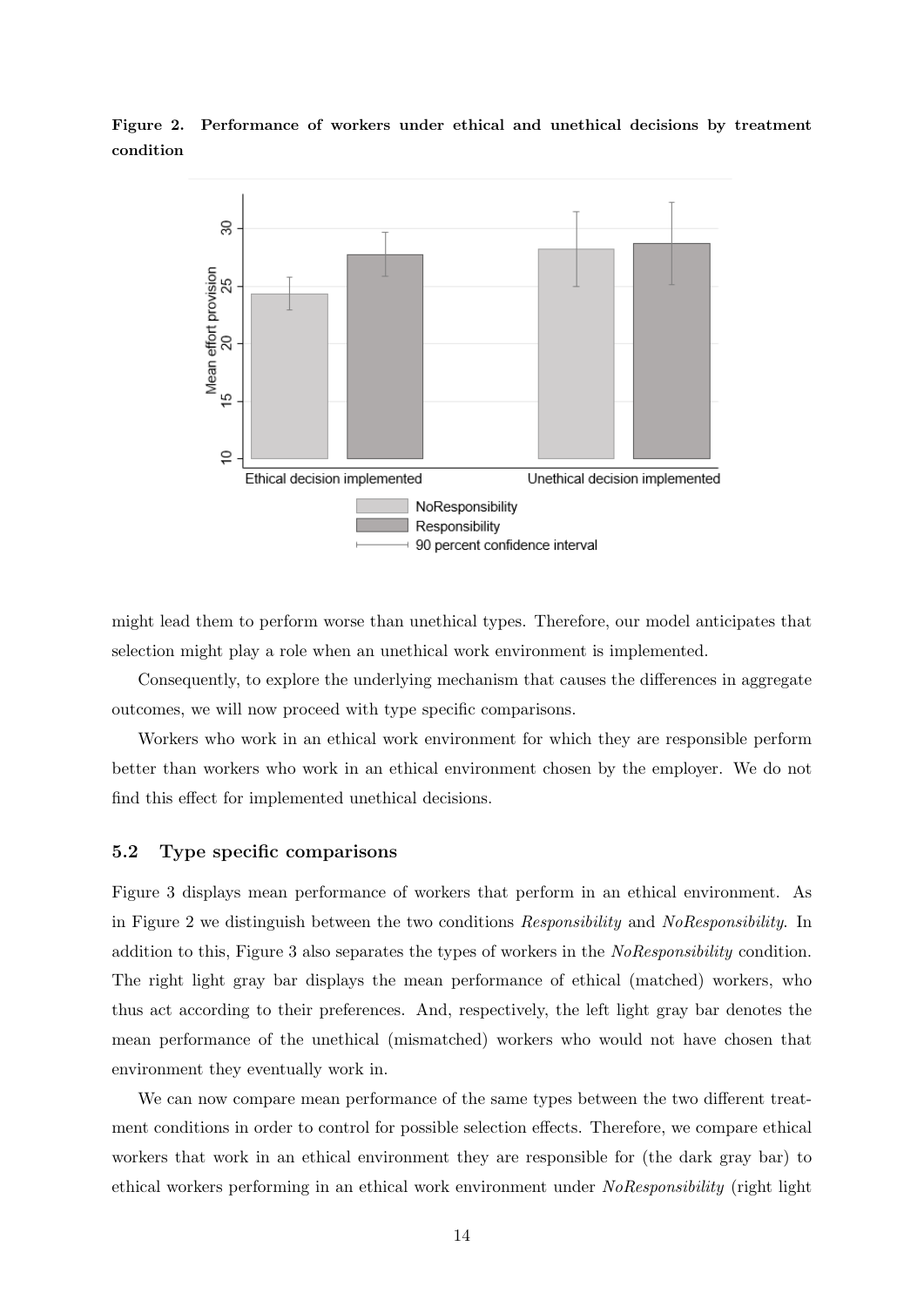Figure 2. Performance of workers under ethical and unethical decisions by treatment condition



might lead them to perform worse than unethical types. Therefore, our model anticipates that selection might play a role when an unethical work environment is implemented.

Consequently, to explore the underlying mechanism that causes the differences in aggregate outcomes, we will now proceed with type specific comparisons.

Workers who work in an ethical work environment for which they are responsible perform better than workers who work in an ethical environment chosen by the employer. We do not find this effect for implemented unethical decisions.

#### 5.2 Type specific comparisons

Figure 3 displays mean performance of workers that perform in an ethical environment. As in Figure 2 we distinguish between the two conditions Responsibility and NoResponsibility. In addition to this, Figure 3 also separates the types of workers in the NoResponsibility condition. The right light gray bar displays the mean performance of ethical (matched) workers, who thus act according to their preferences. And, respectively, the left light gray bar denotes the mean performance of the unethical (mismatched) workers who would not have chosen that environment they eventually work in.

We can now compare mean performance of the same types between the two different treatment conditions in order to control for possible selection effects. Therefore, we compare ethical workers that work in an ethical environment they are responsible for (the dark gray bar) to ethical workers performing in an ethical work environment under NoResponsibility (right light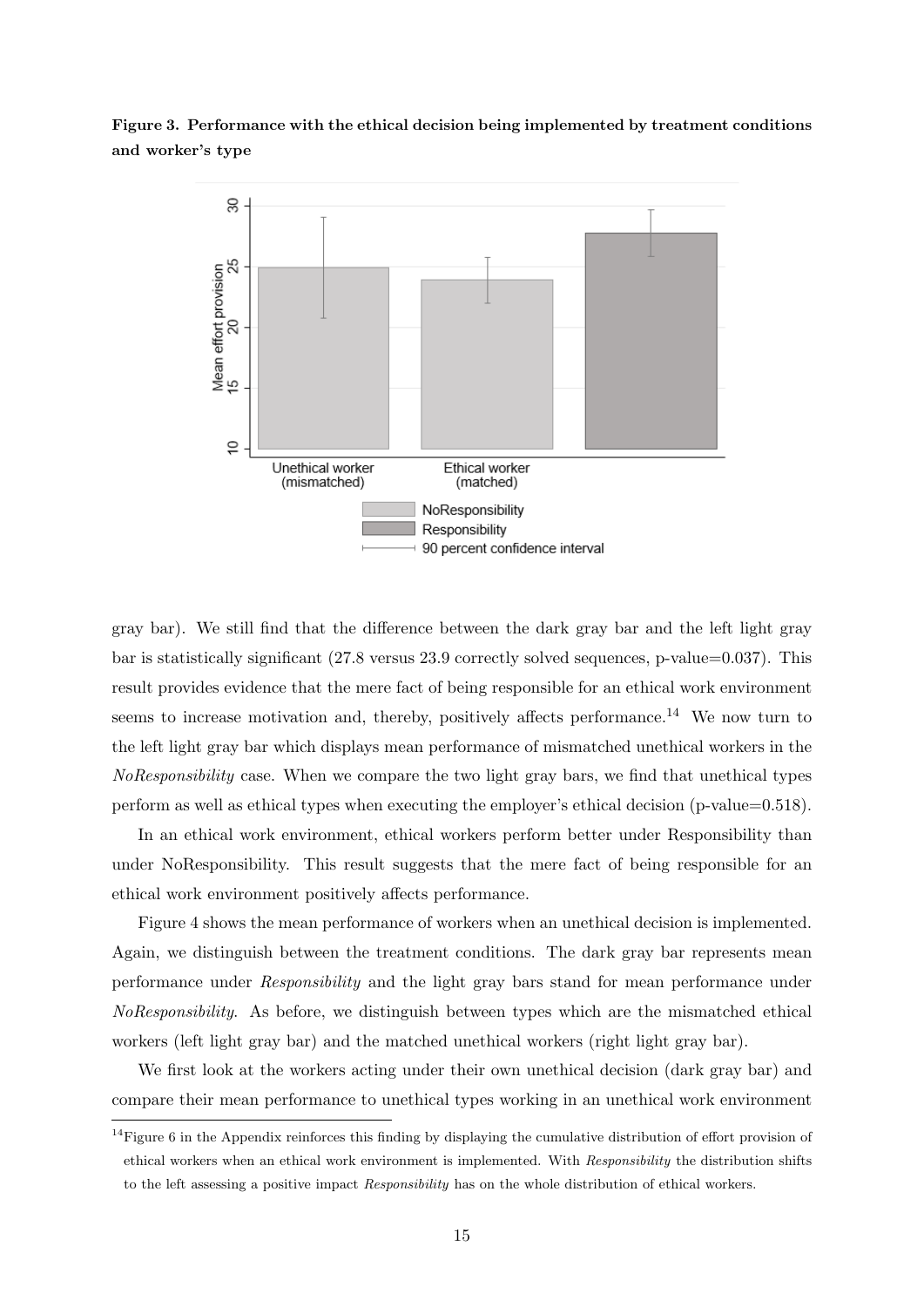Figure 3. Performance with the ethical decision being implemented by treatment conditions and worker's type



gray bar). We still find that the difference between the dark gray bar and the left light gray bar is statistically significant (27.8 versus 23.9 correctly solved sequences, p-value=0.037). This result provides evidence that the mere fact of being responsible for an ethical work environment seems to increase motivation and, thereby, positively affects performance.<sup>14</sup> We now turn to the left light gray bar which displays mean performance of mismatched unethical workers in the NoResponsibility case. When we compare the two light gray bars, we find that unethical types perform as well as ethical types when executing the employer's ethical decision (p-value=0.518).

In an ethical work environment, ethical workers perform better under Responsibility than under NoResponsibility. This result suggests that the mere fact of being responsible for an ethical work environment positively affects performance.

Figure 4 shows the mean performance of workers when an unethical decision is implemented. Again, we distinguish between the treatment conditions. The dark gray bar represents mean performance under Responsibility and the light gray bars stand for mean performance under NoResponsibility. As before, we distinguish between types which are the mismatched ethical workers (left light gray bar) and the matched unethical workers (right light gray bar).

We first look at the workers acting under their own unethical decision (dark gray bar) and compare their mean performance to unethical types working in an unethical work environment

<sup>&</sup>lt;sup>14</sup>Figure 6 in the Appendix reinforces this finding by displaying the cumulative distribution of effort provision of ethical workers when an ethical work environment is implemented. With Responsibility the distribution shifts to the left assessing a positive impact Responsibility has on the whole distribution of ethical workers.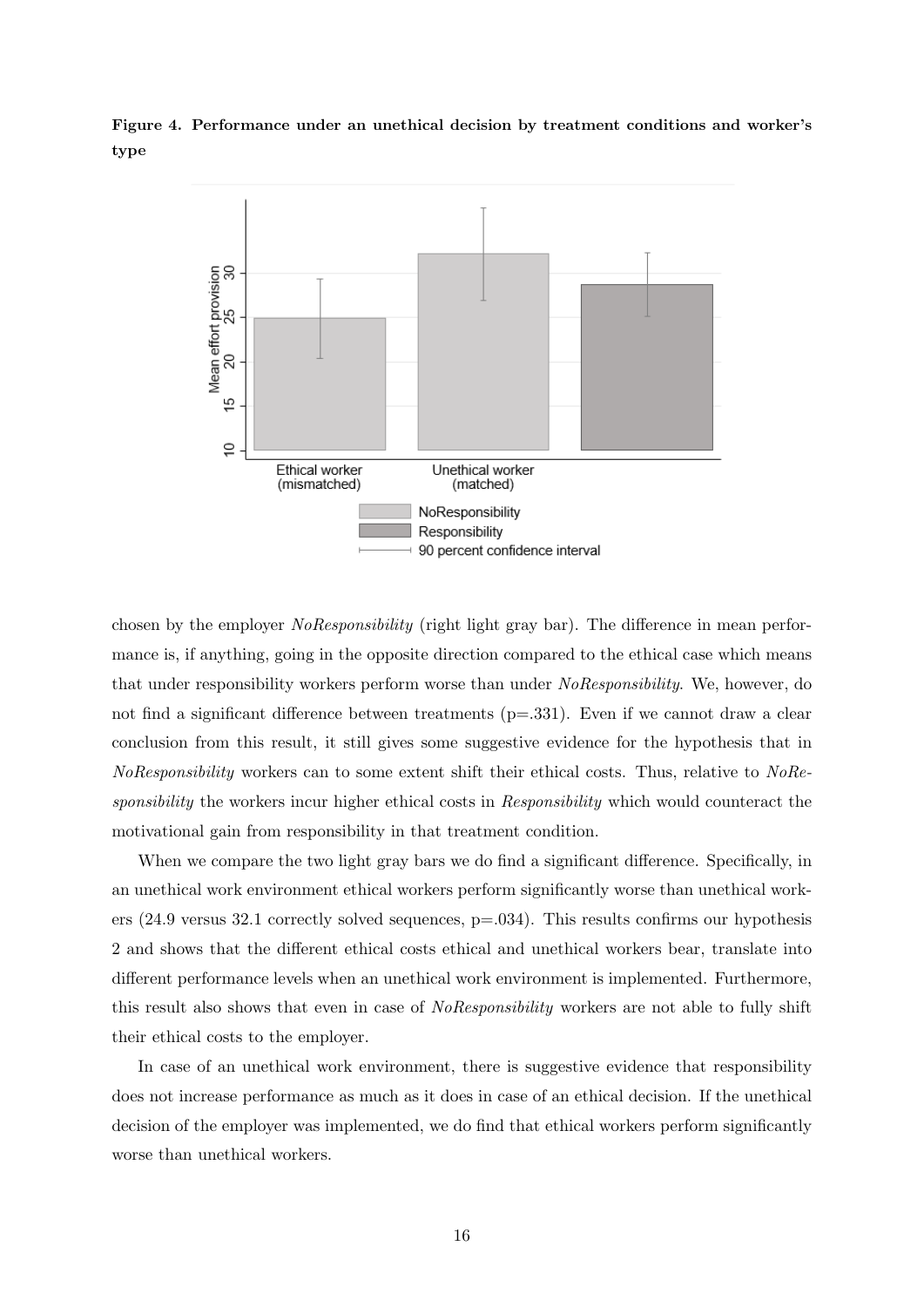Figure 4. Performance under an unethical decision by treatment conditions and worker's type



chosen by the employer *NoResponsibility* (right light gray bar). The difference in mean performance is, if anything, going in the opposite direction compared to the ethical case which means that under responsibility workers perform worse than under NoResponsibility. We, however, do not find a significant difference between treatments (p=.331). Even if we cannot draw a clear conclusion from this result, it still gives some suggestive evidence for the hypothesis that in NoResponsibility workers can to some extent shift their ethical costs. Thus, relative to NoResponsibility the workers incur higher ethical costs in Responsibility which would counteract the motivational gain from responsibility in that treatment condition.

When we compare the two light gray bars we do find a significant difference. Specifically, in an unethical work environment ethical workers perform significantly worse than unethical workers (24.9 versus 32.1 correctly solved sequences, p=.034). This results confirms our hypothesis 2 and shows that the different ethical costs ethical and unethical workers bear, translate into different performance levels when an unethical work environment is implemented. Furthermore, this result also shows that even in case of NoResponsibility workers are not able to fully shift their ethical costs to the employer.

In case of an unethical work environment, there is suggestive evidence that responsibility does not increase performance as much as it does in case of an ethical decision. If the unethical decision of the employer was implemented, we do find that ethical workers perform significantly worse than unethical workers.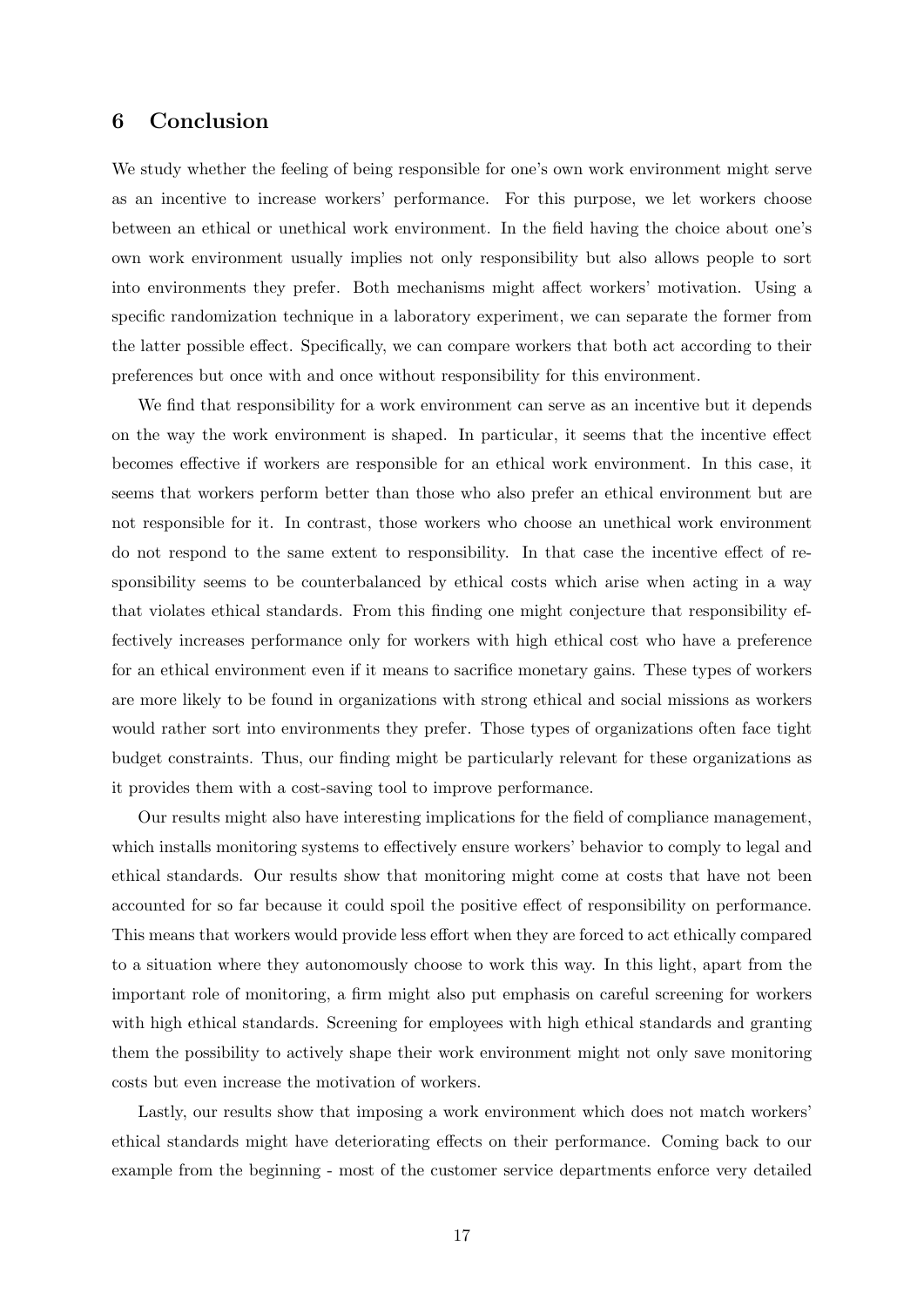## 6 Conclusion

We study whether the feeling of being responsible for one's own work environment might serve as an incentive to increase workers' performance. For this purpose, we let workers choose between an ethical or unethical work environment. In the field having the choice about one's own work environment usually implies not only responsibility but also allows people to sort into environments they prefer. Both mechanisms might affect workers' motivation. Using a specific randomization technique in a laboratory experiment, we can separate the former from the latter possible effect. Specifically, we can compare workers that both act according to their preferences but once with and once without responsibility for this environment.

We find that responsibility for a work environment can serve as an incentive but it depends on the way the work environment is shaped. In particular, it seems that the incentive effect becomes effective if workers are responsible for an ethical work environment. In this case, it seems that workers perform better than those who also prefer an ethical environment but are not responsible for it. In contrast, those workers who choose an unethical work environment do not respond to the same extent to responsibility. In that case the incentive effect of responsibility seems to be counterbalanced by ethical costs which arise when acting in a way that violates ethical standards. From this finding one might conjecture that responsibility effectively increases performance only for workers with high ethical cost who have a preference for an ethical environment even if it means to sacrifice monetary gains. These types of workers are more likely to be found in organizations with strong ethical and social missions as workers would rather sort into environments they prefer. Those types of organizations often face tight budget constraints. Thus, our finding might be particularly relevant for these organizations as it provides them with a cost-saving tool to improve performance.

Our results might also have interesting implications for the field of compliance management, which installs monitoring systems to effectively ensure workers' behavior to comply to legal and ethical standards. Our results show that monitoring might come at costs that have not been accounted for so far because it could spoil the positive effect of responsibility on performance. This means that workers would provide less effort when they are forced to act ethically compared to a situation where they autonomously choose to work this way. In this light, apart from the important role of monitoring, a firm might also put emphasis on careful screening for workers with high ethical standards. Screening for employees with high ethical standards and granting them the possibility to actively shape their work environment might not only save monitoring costs but even increase the motivation of workers.

Lastly, our results show that imposing a work environment which does not match workers' ethical standards might have deteriorating effects on their performance. Coming back to our example from the beginning - most of the customer service departments enforce very detailed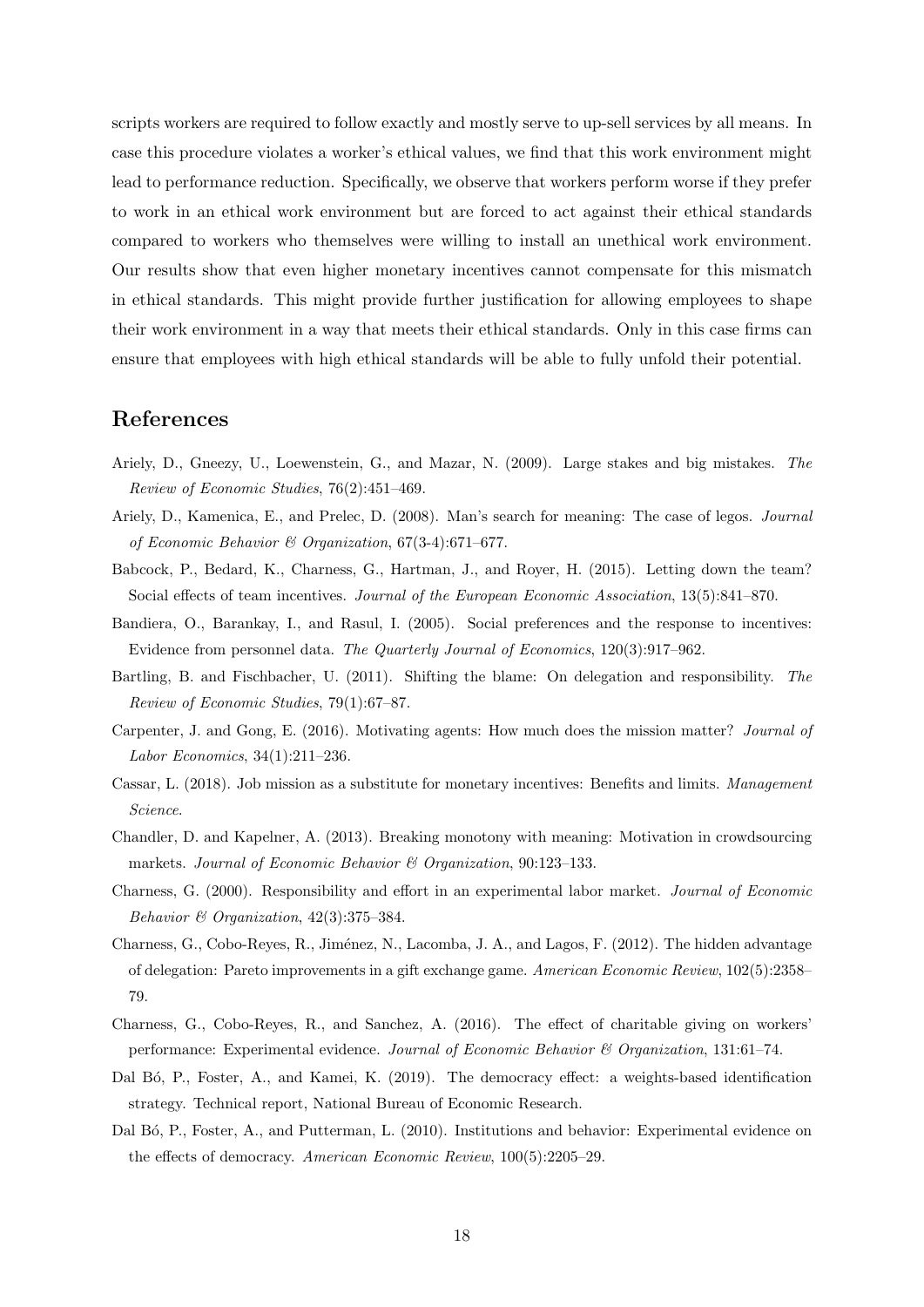scripts workers are required to follow exactly and mostly serve to up-sell services by all means. In case this procedure violates a worker's ethical values, we find that this work environment might lead to performance reduction. Specifically, we observe that workers perform worse if they prefer to work in an ethical work environment but are forced to act against their ethical standards compared to workers who themselves were willing to install an unethical work environment. Our results show that even higher monetary incentives cannot compensate for this mismatch in ethical standards. This might provide further justification for allowing employees to shape their work environment in a way that meets their ethical standards. Only in this case firms can ensure that employees with high ethical standards will be able to fully unfold their potential.

#### References

- Ariely, D., Gneezy, U., Loewenstein, G., and Mazar, N. (2009). Large stakes and big mistakes. The Review of Economic Studies, 76(2):451–469.
- Ariely, D., Kamenica, E., and Prelec, D. (2008). Man's search for meaning: The case of legos. Journal of Economic Behavior & Organization, 67(3-4):671–677.
- Babcock, P., Bedard, K., Charness, G., Hartman, J., and Royer, H. (2015). Letting down the team? Social effects of team incentives. Journal of the European Economic Association, 13(5):841–870.
- Bandiera, O., Barankay, I., and Rasul, I. (2005). Social preferences and the response to incentives: Evidence from personnel data. The Quarterly Journal of Economics, 120(3):917–962.
- Bartling, B. and Fischbacher, U. (2011). Shifting the blame: On delegation and responsibility. The Review of Economic Studies, 79(1):67–87.
- Carpenter, J. and Gong, E. (2016). Motivating agents: How much does the mission matter? Journal of Labor Economics, 34(1):211–236.
- Cassar, L. (2018). Job mission as a substitute for monetary incentives: Benefits and limits. Management Science.
- Chandler, D. and Kapelner, A. (2013). Breaking monotony with meaning: Motivation in crowdsourcing markets. Journal of Economic Behavior & Organization, 90:123–133.
- Charness, G. (2000). Responsibility and effort in an experimental labor market. Journal of Economic Behavior & Organization,  $42(3):375-384$ .
- Charness, G., Cobo-Reyes, R., Jiménez, N., Lacomba, J. A., and Lagos, F. (2012). The hidden advantage of delegation: Pareto improvements in a gift exchange game. American Economic Review, 102(5):2358– 79.
- Charness, G., Cobo-Reyes, R., and Sanchez, A. (2016). The effect of charitable giving on workers' performance: Experimental evidence. Journal of Economic Behavior & Organization, 131:61–74.
- Dal Bó, P., Foster, A., and Kamei, K. (2019). The democracy effect: a weights-based identification strategy. Technical report, National Bureau of Economic Research.
- Dal B´o, P., Foster, A., and Putterman, L. (2010). Institutions and behavior: Experimental evidence on the effects of democracy. American Economic Review, 100(5):2205–29.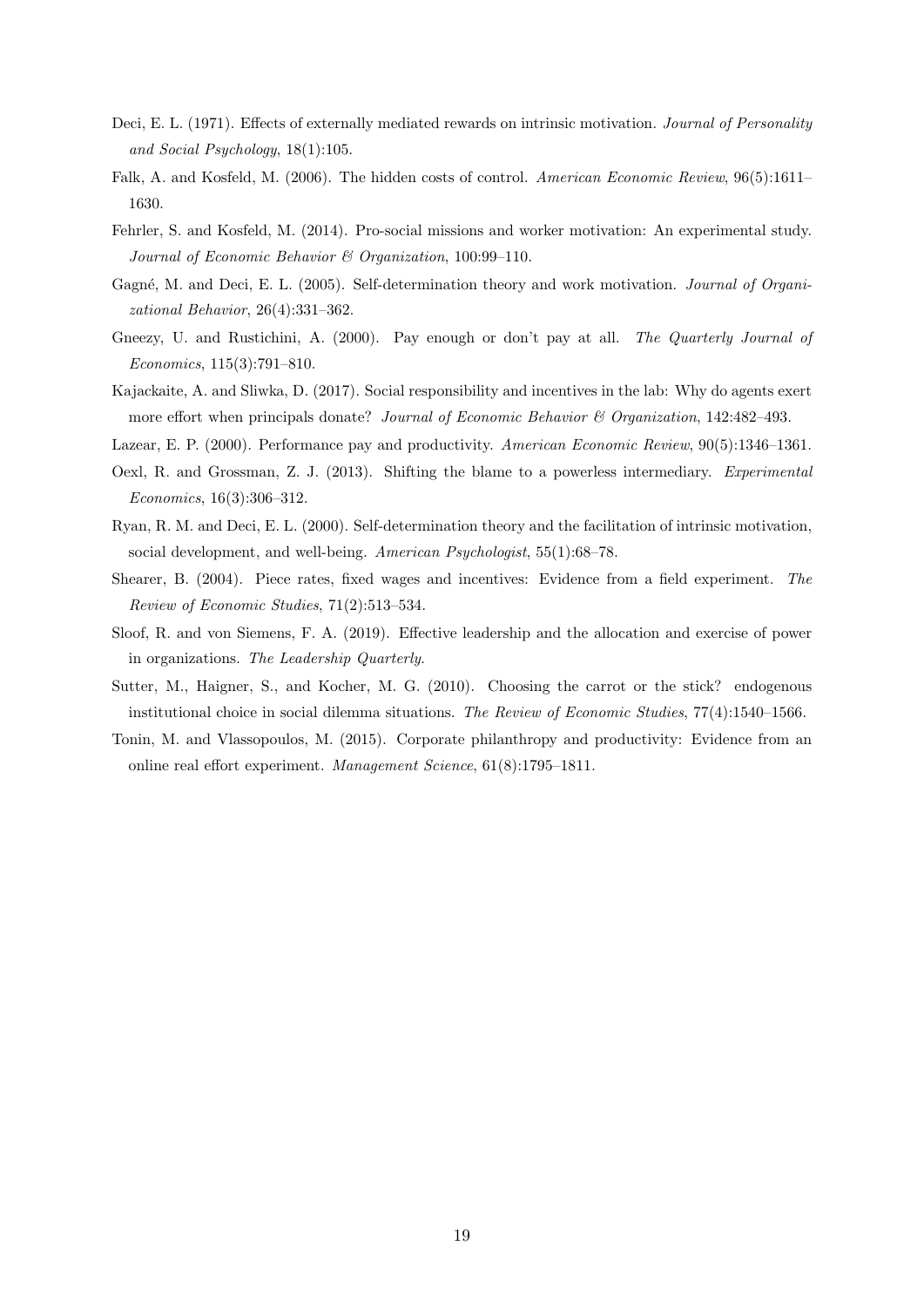- Deci, E. L. (1971). Effects of externally mediated rewards on intrinsic motivation. Journal of Personality and Social Psychology, 18(1):105.
- Falk, A. and Kosfeld, M. (2006). The hidden costs of control. American Economic Review, 96(5):1611– 1630.
- Fehrler, S. and Kosfeld, M. (2014). Pro-social missions and worker motivation: An experimental study. Journal of Economic Behavior & Organization, 100:99–110.
- Gagné, M. and Deci, E. L. (2005). Self-determination theory and work motivation. Journal of Organizational Behavior, 26(4):331–362.
- Gneezy, U. and Rustichini, A. (2000). Pay enough or don't pay at all. The Quarterly Journal of Economics, 115(3):791–810.
- Kajackaite, A. and Sliwka, D. (2017). Social responsibility and incentives in the lab: Why do agents exert more effort when principals donate? Journal of Economic Behavior & Organization, 142:482-493.
- Lazear, E. P. (2000). Performance pay and productivity. American Economic Review, 90(5):1346–1361.
- Oexl, R. and Grossman, Z. J. (2013). Shifting the blame to a powerless intermediary. Experimental Economics, 16(3):306–312.
- Ryan, R. M. and Deci, E. L. (2000). Self-determination theory and the facilitation of intrinsic motivation, social development, and well-being. American Psychologist, 55(1):68-78.
- Shearer, B. (2004). Piece rates, fixed wages and incentives: Evidence from a field experiment. The Review of Economic Studies, 71(2):513–534.
- Sloof, R. and von Siemens, F. A. (2019). Effective leadership and the allocation and exercise of power in organizations. The Leadership Quarterly.
- Sutter, M., Haigner, S., and Kocher, M. G. (2010). Choosing the carrot or the stick? endogenous institutional choice in social dilemma situations. The Review of Economic Studies, 77(4):1540–1566.
- Tonin, M. and Vlassopoulos, M. (2015). Corporate philanthropy and productivity: Evidence from an online real effort experiment. Management Science, 61(8):1795–1811.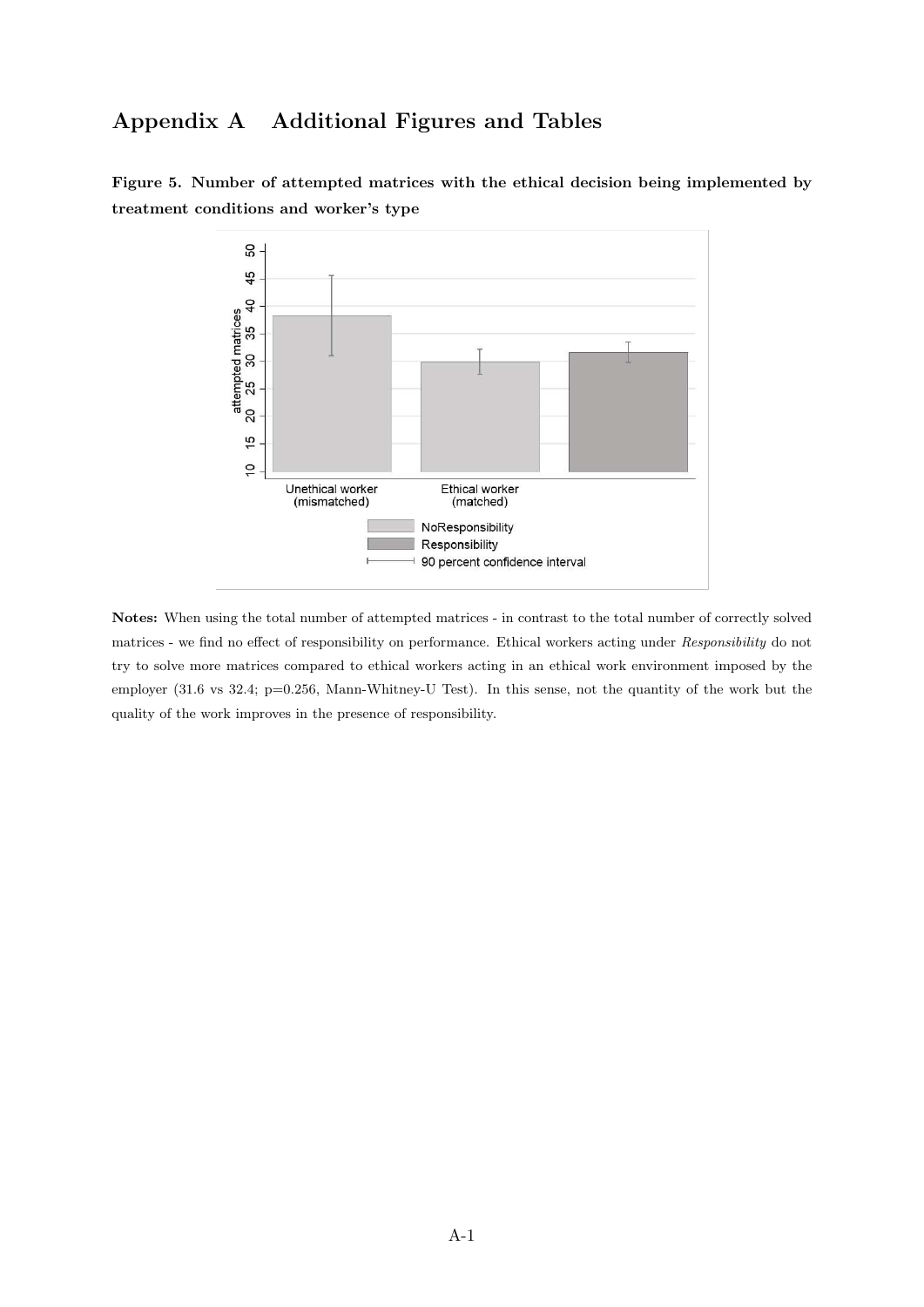## Appendix A Additional Figures and Tables



Figure 5. Number of attempted matrices with the ethical decision being implemented by treatment conditions and worker's type

Notes: When using the total number of attempted matrices - in contrast to the total number of correctly solved matrices - we find no effect of responsibility on performance. Ethical workers acting under Responsibility do not try to solve more matrices compared to ethical workers acting in an ethical work environment imposed by the employer (31.6 vs 32.4; p=0.256, Mann-Whitney-U Test). In this sense, not the quantity of the work but the quality of the work improves in the presence of responsibility.